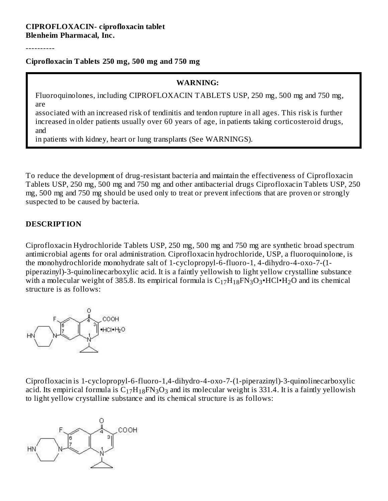----------

#### **Ciprofloxacin Tablets 250 mg, 500 mg and 750 mg**

#### **WARNING:**

Fluoroquinolones, including CIPROFLOXACIN TABLETS USP, 250 mg, 500 mg and 750 mg, are

associated with an increased risk of tendinitis and tendon rupture in all ages. This risk is further increased in older patients usually over 60 years of age, in patients taking corticosteroid drugs, and

in patients with kidney, heart or lung transplants (See WARNINGS).

To reduce the development of drug-resistant bacteria and maintain the effectiveness of Ciprofloxacin Tablets USP, 250 mg, 500 mg and 750 mg and other antibacterial drugs Ciprofloxacin Tablets USP, 250 mg, 500 mg and 750 mg should be used only to treat or prevent infections that are proven or strongly suspected to be caused by bacteria.

#### **DESCRIPTION**

Ciprofloxacin Hydrochloride Tablets USP, 250 mg, 500 mg and 750 mg are synthetic broad spectrum antimicrobial agents for oral administration. Ciprofloxacin hydrochloride, USP, a fluoroquinolone, is the monohydrochloride monohydrate salt of 1-cyclopropyl-6-fluoro-1, 4-dihydro-4-oxo-7-(1 piperazinyl)-3-quinolinecarboxylic acid. It is a faintly yellowish to light yellow crystalline substance with a molecular weight of 385.8. Its empirical formula is  $\rm C_{17}H_{18}FN_{3}O_{3} \cdot HCl \cdot H_{2}O$  and its chemical structure is as follows:



Ciprofloxacin is 1-cyclopropyl-6-fluoro-1,4-dihydro-4-oxo-7-(1-piperazinyl)-3-quinolinecarboxylic acid. Its empirical formula is  $\rm C_{17}H_{18}FN_{3}O_{3}$  and its molecular weight is 331.4. It is a faintly yellowish to light yellow crystalline substance and its chemical structure is as follows:

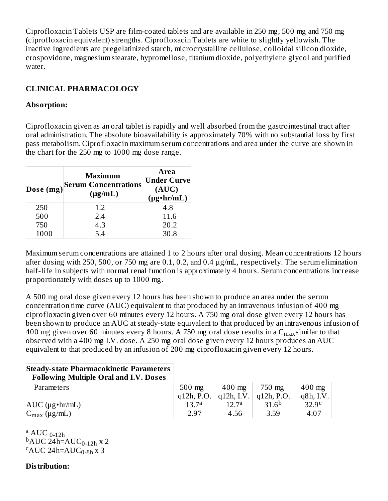Ciprofloxacin Tablets USP are film-coated tablets and are available in 250 mg, 500 mg and 750 mg (ciprofloxacin equivalent) strengths. Ciprofloxacin Tablets are white to slightly yellowish. The inactive ingredients are pregelatinized starch, microcrystalline cellulose, colloidal silicon dioxide, crospovidone, magnesium stearate, hypromellose, titanium dioxide, polyethylene glycol and purified water.

## **CLINICAL PHARMACOLOGY**

## **Absorption:**

Ciprofloxacin given as an oral tablet is rapidly and well absorbed from the gastrointestinal tract after oral administration. The absolute bioavailability is approximately 70% with no substantial loss by first pass metabolism. Ciprofloxacin maximum serum concentrations and area under the curve are shown in the chart for the 250 mg to 1000 mg dose range.

| Dose (mg) | <b>Maximum</b><br><b>Serum Concentrations</b><br>$(\mu g/mL)$ | Area<br><b>Under Curve</b><br>(AUC)<br>$(\mu g \cdot hr/mL)$ |
|-----------|---------------------------------------------------------------|--------------------------------------------------------------|
| 250       | 1.2                                                           | 4.8                                                          |
| 500       | 2.4                                                           | 11.6                                                         |
| 750       | 4.3                                                           | 20.2                                                         |
| 1000      | 5.4                                                           | 30.8                                                         |

Maximum serum concentrations are attained 1 to 2 hours after oral dosing. Mean concentrations 12 hours after dosing with 250, 500, or 750 mg are 0.1, 0.2, and 0.4 μg/mL, respectively. The serum elimination half-life in subjects with normal renal function is approximately 4 hours. Serum concentrations increase proportionately with doses up to 1000 mg.

A 500 mg oral dose given every 12 hours has been shown to produce an area under the serum concentration time curve (AUC) equivalent to that produced by an intravenous infusion of 400 mg ciprofloxacin given over 60 minutes every 12 hours. A 750 mg oral dose given every 12 hours has been shown to produce an AUC at steady-state equivalent to that produced by an intravenous infusion of 400 mg given over 60 minutes every 8 hours. A 750 mg oral dose results in a  $\rm{C_{max}}$ similar to that observed with a 400 mg I.V. dose. A 250 mg oral dose given every 12 hours produces an AUC equivalent to that produced by an infusion of 200 mg ciprofloxacin given every 12 hours.

| <b>Steady-state Pharmacokinetic Parameters</b><br><b>Following Multiple Oral and I.V. Doses</b> |                   |                   |                   |                   |
|-------------------------------------------------------------------------------------------------|-------------------|-------------------|-------------------|-------------------|
| Parameters                                                                                      | $500$ mg          | $400$ mg          | 750 mg            | $400 \text{ mg}$  |
|                                                                                                 | q12h, P.O.        | q12h, I.V.        | $q12h$ , P.O.     | q8h, I.V.         |
| $AUC$ ( $\mu$ g•hr/mL)                                                                          | 13.7 <sup>a</sup> | 12.7 <sup>a</sup> | 31.6 <sup>b</sup> | 32.9 <sup>c</sup> |
| $C_{\text{max}}$ (µg/mL)                                                                        | 2.97              | 4.56              | 3.59              | 4.07              |

 $^a$  AUC  $_{0-12h}$  $b$ AUC 24h=AUC<sub>0-12h</sub> x 2  $c_{AUC}$  24h= $AUC_{0-8h}$  x 3

## **Distribution:**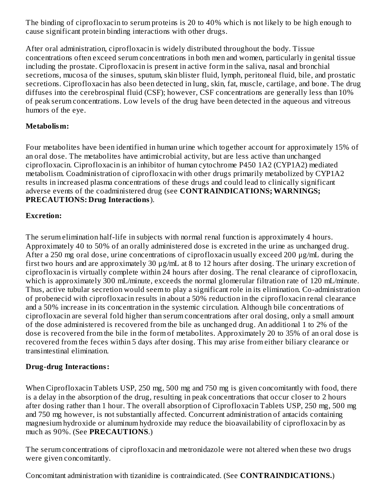The binding of ciprofloxacin to serum proteins is 20 to 40% which is not likely to be high enough to cause significant protein binding interactions with other drugs.

After oral administration, ciprofloxacin is widely distributed throughout the body. Tissue concentrations often exceed serum concentrations in both men and women, particularly in genital tissue including the prostate. Ciprofloxacin is present in active form in the saliva, nasal and bronchial secretions, mucosa of the sinuses, sputum, skin blister fluid, lymph, peritoneal fluid, bile, and prostatic secretions. Ciprofloxacin has also been detected in lung, skin, fat, muscle, cartilage, and bone. The drug diffuses into the cerebrospinal fluid (CSF); however, CSF concentrations are generally less than 10% of peak serum concentrations. Low levels of the drug have been detected in the aqueous and vitreous humors of the eye.

#### **Metabolism:**

Four metabolites have been identified in human urine which together account for approximately 15% of an oral dose. The metabolites have antimicrobial activity, but are less active than unchanged ciprofloxacin. Ciprofloxacin is an inhibitor of human cytochrome P450 1A2 (CYP1A2) mediated metabolism. Coadministration of ciprofloxacin with other drugs primarily metabolized by CYP1A2 results in increased plasma concentrations of these drugs and could lead to clinically significant adverse events of the coadministered drug (see **CONTRAINDICATIONS; WARNINGS; PRECAUTIONS: Drug Interactions**).

## **Excretion:**

The serum elimination half-life in subjects with normal renal function is approximately 4 hours. Approximately 40 to 50% of an orally administered dose is excreted in the urine as unchanged drug. After a 250 mg oral dose, urine concentrations of ciprofloxacin usually exceed 200 μg/mL during the first two hours and are approximately 30 μg/mL at 8 to 12 hours after dosing. The urinary excretion of ciprofloxacin is virtually complete within 24 hours after dosing. The renal clearance of ciprofloxacin, which is approximately 300 mL/minute, exceeds the normal glomerular filtration rate of 120 mL/minute. Thus, active tubular secretion would seem to play a significant role in its elimination. Co-administration of probenecid with ciprofloxacin results in about a 50% reduction in the ciprofloxacin renal clearance and a 50% increase in its concentration in the systemic circulation. Although bile concentrations of ciprofloxacin are several fold higher than serum concentrations after oral dosing, only a small amount of the dose administered is recovered from the bile as unchanged drug. An additional 1 to 2% of the dose is recovered from the bile in the form of metabolites. Approximately 20 to 35% of an oral dose is recovered from the feces within 5 days after dosing. This may arise from either biliary clearance or transintestinal elimination.

## **Drug-drug Interactions:**

When Ciprofloxacin Tablets USP, 250 mg, 500 mg and 750 mg is given concomitantly with food, there is a delay in the absorption of the drug, resulting in peak concentrations that occur closer to 2 hours after dosing rather than 1 hour. The overall absorption of Ciprofloxacin Tablets USP, 250 mg, 500 mg and 750 mg however, is not substantially affected. Concurrent administration of antacids containing magnesium hydroxide or aluminum hydroxide may reduce the bioavailability of ciprofloxacin by as much as 90%. (See **PRECAUTIONS**.)

The serum concentrations of ciprofloxacin and metronidazole were not altered when these two drugs were given concomitantly.

Concomitant administration with tizanidine is contraindicated. (See **CONTRAINDICATIONS.**)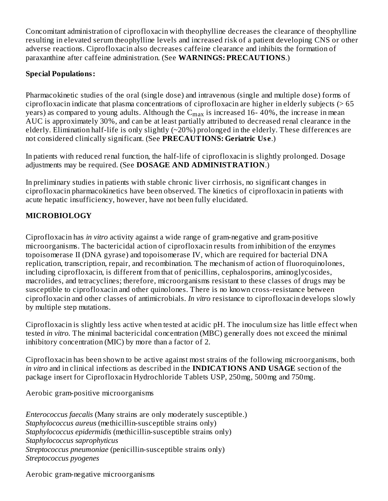Concomitant administration of ciprofloxacin with theophylline decreases the clearance of theophylline resulting in elevated serum theophylline levels and increased risk of a patient developing CNS or other adverse reactions. Ciprofloxacin also decreases caffeine clearance and inhibits the formation of paraxanthine after caffeine administration. (See **WARNINGS: PRECAUTIONS**.)

#### **Special Populations:**

Pharmacokinetic studies of the oral (single dose) and intravenous (single and multiple dose) forms of ciprofloxacin indicate that plasma concentrations of ciprofloxacin are higher in elderly subjects (> 65 years) as compared to young adults. Although the  $\rm{C_{max}}$  is increased 16- 40%, the increase in mean AUC is approximately 30%, and can be at least partially attributed to decreased renal clearance in the elderly. Elimination half-life is only slightly (~20%) prolonged in the elderly. These differences are not considered clinically significant. (See **PRECAUTIONS: Geriatric Us e**.)

In patients with reduced renal function, the half-life of ciprofloxacin is slightly prolonged. Dosage adjustments may be required. (See **DOSAGE AND ADMINISTRATION**.)

In preliminary studies in patients with stable chronic liver cirrhosis, no significant changes in ciprofloxacin pharmacokinetics have been observed. The kinetics of ciprofloxacin in patients with acute hepatic insufficiency, however, have not been fully elucidated.

## **MICROBIOLOGY**

Ciprofloxacin has *in vitro* activity against a wide range of gram-negative and gram-positive microorganisms. The bactericidal action of ciprofloxacin results from inhibition of the enzymes topoisomerase II (DNA gyrase) and topoisomerase IV, which are required for bacterial DNA replication, transcription, repair, and recombination. The mechanism of action of fluoroquinolones, including ciprofloxacin, is different from that of penicillins, cephalosporins, aminoglycosides, macrolides, and tetracyclines; therefore, microorganisms resistant to these classes of drugs may be susceptible to ciprofloxacin and other quinolones. There is no known cross-resistance between ciprofloxacin and other classes of antimicrobials. *In vitro* resistance to ciprofloxacin develops slowly by multiple step mutations.

Ciprofloxacin is slightly less active when tested at acidic pH. The inoculum size has little effect when tested *in vitro.* The minimal bactericidal concentration (MBC) generally does not exceed the minimal inhibitory concentration (MIC) by more than a factor of 2.

Ciprofloxacin has been shown to be active against most strains of the following microorganisms, both *in vitro* and in clinical infections as described in the **INDICATIONS AND USAGE** section of the package insert for Ciprofloxacin Hydrochloride Tablets USP, 250mg, 500mg and 750mg.

Aerobic gram-positive microorganisms

*Enterococcus faecalis* (Many strains are only moderately susceptible.) *Staphylococcus aureus* (methicillin-susceptible strains only) *Staphylococcus epidermidis* (methicillin-susceptible strains only) *Staphylococcus saprophyticus Streptococcus pneumoniae* (penicillin-susceptible strains only) *Streptococcus pyogenes*

Aerobic gram-negative microorganisms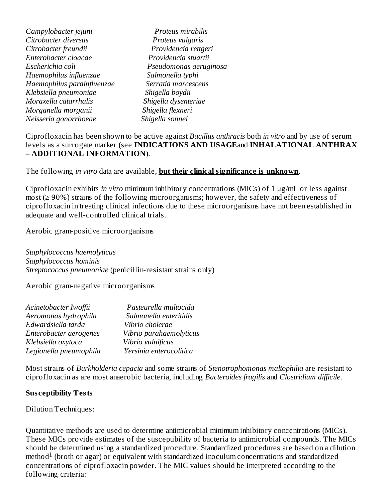| Campylobacter jejuni       | Proteus mirabilis      |
|----------------------------|------------------------|
| Citrobacter diversus       | Proteus vulgaris       |
| Citrobacter freundii       | Providencia rettgeri   |
| Enterobacter cloacae       | Providencia stuartii   |
| Escherichia coli           | Pseudomonas aeruginosa |
| Haemophilus influenzae     | Salmonella typhi       |
| Haemophilus parainfluenzae | Serratia marcescens    |
| Klebsiella pneumoniae      | Shigella boydii        |
| Moraxella catarrhalis      | Shigella dysenteriae   |
| Morganella morganii        | Shigella flexneri      |
| Neisseria gonorrhoeae      | Shigella sonnei        |
|                            |                        |

Ciprofloxacin has been shown to be active against *Bacillus anthracis* both *in vitro* and by use of serum levels as a surrogate marker (see **INDICATIONS AND USAGE**and **INHALATIONAL ANTHRAX – ADDITIONAL INFORMATION**).

The following *in vitro* data are available, **but their clinical significance is unknown**.

Ciprofloxacin exhibits *in vitro* minimum inhibitory concentrations (MICs) of 1 μg/mL or less against most (≥ 90%) strains of the following microorganisms; however, the safety and effectiveness of ciprofloxacin in treating clinical infections due to these microorganisms have not been established in adequate and well-controlled clinical trials.

Aerobic gram-positive microorganisms

*Staphylococcus haemolyticus Staphylococcus hominis Streptococcus pneumoniae* (penicillin-resistant strains only)

Aerobic gram-negative microorganisms

| Acinetobacter Iwoffii  | Pasteurella multocida   |
|------------------------|-------------------------|
| Aeromonas hydrophila   | Salmonella enteritidis  |
| Edwardsiella tarda     | Vibrio cholerae         |
| Enterobacter aerogenes | Vibrio parahaemolyticus |
| Klebsiella oxytoca     | Vibrio vulnificus       |
| Legionella pneumophila | Yersinia enterocolitica |

Most strains of *Burkholderia cepacia* and some strains of *Stenotrophomonas maltophilia* are resistant to ciprofloxacin as are most anaerobic bacteria, including *Bacteroides fragilis* and *Clostridium difficile*.

#### **Sus ceptibility Tests**

Dilution Techniques:

Quantitative methods are used to determine antimicrobial minimum inhibitory concentrations (MICs). These MICs provide estimates of the susceptibility of bacteria to antimicrobial compounds. The MICs should be determined using a standardized procedure. Standardized procedures are based on a dilution  $m$ ethod<sup>1</sup> (broth or agar) or equivalent with standardized inoculum concentrations and standardized concentrations of ciprofloxacin powder. The MIC values should be interpreted according to the following criteria: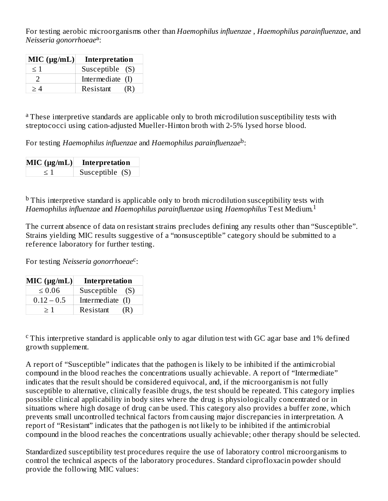For testing aerobic microorganisms other than *Haemophilus influenzae* , *Haemophilus parainfluenzae*, and *Neisseria gonorrhoeae* : a

| MIC (µg/mL) | Interpretation   |  |
|-------------|------------------|--|
| $\leq 1$    | Susceptible (S)  |  |
|             | Intermediate (I) |  |
|             | Resistant        |  |

<sup>a</sup> These interpretive standards are applicable only to broth microdilution susceptibility tests with streptococci using cation-adjusted Mueller-Hinton broth with 2-5% lysed horse blood.

For testing *Haemophilus influenzae* and *Haemophilus parainfluenzae<sup>b</sup>:* 

| $MIC (µg/mL)$ Interpretation |
|------------------------------|
| Susceptible (S)              |

 $^{\rm b}$  This interpretive standard is applicable only to broth microdilution susceptibility tests with *Haemophilus influenzae* and *Haemophilus parainfluenzae* using *Haemophilus* Test Medium. 1

The current absence of data on resistant strains precludes defining any results other than "Susceptible". Strains yielding MIC results suggestive of a "nonsusceptible" category should be submitted to a reference laboratory for further testing.

For testing *Neisseria gonorrhoeae<sup>c</sup>*:

| $MIC$ (µg/mL) | Interpretation   |
|---------------|------------------|
| $\leq 0.06$   | Susceptible (S)  |
| $0.12 - 0.5$  | Intermediate (I) |
| >1            | Resistant        |

<sup>c</sup> This interpretive standard is applicable only to agar dilution test with GC agar base and 1% defined growth supplement.

A report of "Susceptible" indicates that the pathogen is likely to be inhibited if the antimicrobial compound in the blood reaches the concentrations usually achievable. A report of "Intermediate" indicates that the result should be considered equivocal, and, if the microorganism is not fully susceptible to alternative, clinically feasible drugs, the test should be repeated. This category implies possible clinical applicability in body sites where the drug is physiologically concentrated or in situations where high dosage of drug can be used. This category also provides a buffer zone, which prevents small uncontrolled technical factors from causing major discrepancies in interpretation. A report of "Resistant" indicates that the pathogen is not likely to be inhibited if the antimicrobial compound in the blood reaches the concentrations usually achievable; other therapy should be selected.

Standardized susceptibility test procedures require the use of laboratory control microorganisms to control the technical aspects of the laboratory procedures. Standard ciprofloxacin powder should provide the following MIC values: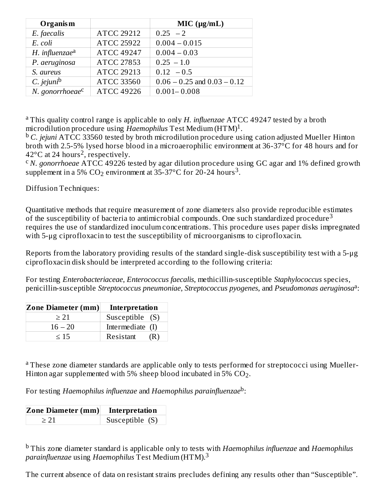| <b>Organism</b>        |                   | $MIC$ ( $\mu g/mL$ )            |
|------------------------|-------------------|---------------------------------|
| E. faecalis            | <b>ATCC 29212</b> | $0.25 - 2$                      |
| E. coli                | <b>ATCC 25922</b> | $0.004 - 0.015$                 |
| $H.$ influenzae $a$    | <b>ATCC 49247</b> | $0.004 - 0.03$                  |
| P. aeruginosa          | <b>ATCC 27853</b> | $0.25 - 1.0$                    |
| S. aureus              | <b>ATCC 29213</b> | $0.12 - 0.5$                    |
| C. jejuni <sup>b</sup> | <b>ATCC 33560</b> | $0.06 - 0.25$ and $0.03 - 0.12$ |
| N. gonorrhoeae $c$     | <b>ATCC 49226</b> | $0.001 - 0.008$                 |

<sup>a</sup> This quality control range is applicable to only H. *influenzae* ATCC 49247 tested by a broth microdilution procedure using *Haemophilus* Test Medium (HTM) . 1

*C. jejuni* ATCC 33560 tested by broth microdilution procedure using cation adjusted Mueller Hinton b broth with 2.5-5% lysed horse blood in a microaerophilic environment at 36-37°C for 48 hours and for  $42^{\circ}$ C at 24 hours<sup>2</sup>, respectively.

<sup>c</sup> N. gonorrhoeae ATCC 49226 tested by agar dilution procedure using GC agar and 1% defined growth supplement in a 5%  $CO_2$  environment at 35-37°C for 20-24 hours<sup>3</sup>.

Diffusion Techniques:

Quantitative methods that require measurement of zone diameters also provide reproducible estimates of the susceptibility of bacteria to antimicrobial compounds. One such standardized procedure<sup>3</sup> requires the use of standardized inoculum concentrations. This procedure uses paper disks impregnated with 5-μg ciprofloxacin to test the susceptibility of microorganisms to ciprofloxacin.

Reports from the laboratory providing results of the standard single-disk susceptibility test with a 5-μg ciprofloxacin disk should be interpreted according to the following criteria:

For testing *Enterobacteriaceae*, *Enterococcus faecalis*, methicillin-susceptible *Staphylococcus* species, penicillin-susceptible *Streptococcus pneumoniae*, *Streptococcus pyogenes*, and *Pseudomonas aeruginosa* : a

| <b>Zone Diameter (mm)</b> | Interpretation   |
|---------------------------|------------------|
| > 21                      | Susceptible (S)  |
| $16 - 20$                 | Intermediate (I) |
| $<$ 15                    | Resistant<br>R)  |

<sup>a</sup> These zone diameter standards are applicable only to tests performed for streptococci using Mueller-Hinton agar supplemented with 5% sheep blood incubated in 5%  $\mathrm{CO}_2.$ 

For testing *Haemophilus influenzae* and *Haemophilus parainfluenzae<sup>b</sup>:* 

| Zone Diameter (mm) Interpretation |                 |
|-----------------------------------|-----------------|
| $>$ 21                            | Susceptible (S) |

This zone diameter standard is applicable only to tests with *Haemophilus influenzae* and *Haemophilus* b *parainfluenzae* using *Haemophilus* Test Medium (HTM). 3

The current absence of data on resistant strains precludes defining any results other than "Susceptible".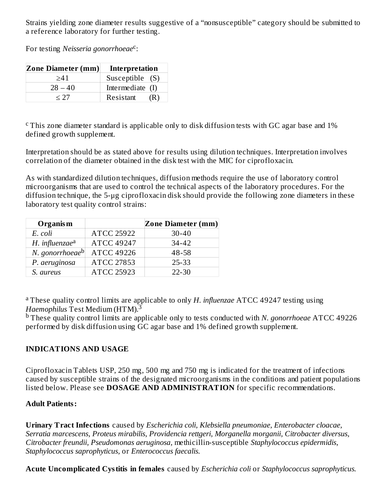Strains yielding zone diameter results suggestive of a "nonsusceptible" category should be submitted to a reference laboratory for further testing.

For testing *Neisseria gonorrhoeae<sup>c</sup>*:

| <b>Zone Diameter (mm)</b> | Interpretation   |
|---------------------------|------------------|
| >41                       | Susceptible (S)  |
| $28 - 40$                 | Intermediate (I) |
| < 77                      | Resistant        |

<sup>c</sup> This zone diameter standard is applicable only to disk diffusion tests with GC agar base and 1% defined growth supplement.

Interpretation should be as stated above for results using dilution techniques. Interpretation involves correlation of the diameter obtained in the disk test with the MIC for ciprofloxacin.

As with standardized dilution techniques, diffusion methods require the use of laboratory control microorganisms that are used to control the technical aspects of the laboratory procedures. For the diffusion technique, the 5-μg ciprofloxacin disk should provide the following zone diameters in these laboratory test quality control strains:

| <b>Organism</b>               |                   | <b>Zone Diameter (mm)</b> |
|-------------------------------|-------------------|---------------------------|
| E. coli                       | <b>ATCC 25922</b> | $30 - 40$                 |
| H. influenzae <sup>a</sup>    | <b>ATCC 49247</b> | $34 - 42$                 |
| $N.$ gonorrhoeae <sup>b</sup> | <b>ATCC 49226</b> | 48-58                     |
| P. aeruginosa                 | <b>ATCC 27853</b> | 25-33                     |
| S. aureus                     | <b>ATCC 25923</b> | $22 - 30$                 |

<sup>a</sup> These quality control limits are applicable to only *H. influenzae* ATCC 49247 testing using *Haemophilus* Test Medium (HTM). 3

<sup>b</sup> These quality control limits are applicable only to tests conducted with *N. gonorrhoeae* ATCC 49226 performed by disk diffusion using GC agar base and 1% defined growth supplement.

#### **INDICATIONS AND USAGE**

Ciprofloxacin Tablets USP, 250 mg, 500 mg and 750 mg is indicated for the treatment of infections caused by susceptible strains of the designated microorganisms in the conditions and patient populations listed below. Please see **DOSAGE AND ADMINISTRATION** for specific recommendations.

#### **Adult Patients:**

**Urinary Tract Infections** caused by *Escherichia coli, Klebsiella pneumoniae, Enterobacter cloacae, Serratia marcescens, Proteus mirabilis, Providencia rettgeri, Morganella morganii, Citrobacter diversus, Citrobacter freundii, Pseudomonas aeruginosa,* methicillin-susceptible *Staphylococcus epidermidis, Staphylococcus saprophyticus,* or *Enterococcus faecalis.*

**Acute Uncomplicated Cystitis in females** caused by *Escherichia coli* or *Staphylococcus saprophyticus.*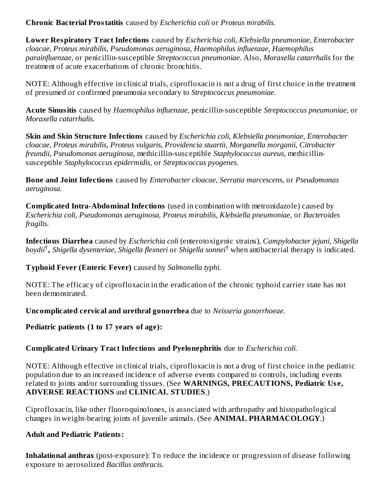**Chronic Bacterial Prostatitis** caused by *Escherichia coli* or *Proteus mirabilis.*

**Lower Respiratory Tract Infections** caused by *Escherichia coli, Klebsiella pneumoniae, Enterobacter cloacae, Proteus mirabilis, Pseudomonas aeruginosa, Haemophilus influenzae, Haemophilus parainfluenzae,* or penicillin-susceptible *Streptococcus pneumoniae.* Also, *Moraxella catarrhalis* for the treatment of acute exacerbations of chronic bronchitis.

NOTE: Although effective in clinical trials, ciprofloxacin is not a drug of first choice in the treatment of presumed or confirmed pneumonia secondary to *Streptococcus pneumoniae.*

**Acute Sinusitis** caused by *Haemophilus influenzae,* penicillin-susceptible *Streptococcus pneumoniae,* or *Moraxella catarrhalis.*

**Skin and Skin Structure Infections** caused by *Escherichia coli, Klebsiella pneumoniae, Enterobacter cloacae, Proteus mirabilis, Proteus vulgaris, Providencia stuartii, Morganella morganii, Citrobacter freundii, Pseudomonas aeruginosa,* methicillin-susceptible *Staphylococcus aureus,* methicillinsusceptible *Staphylococcus epidermidis,* or *Streptococcus pyogenes.*

**Bone and Joint Infections** caused by *Enterobacter cloacae, Serratia marcescens,* or *Pseudomonas aeruginosa.*

**Complicated Intra-Abdominal Infections** (used in combination with metronidazole) caused by *Escherichia coli, Pseudomonas aeruginosa, Proteus mirabilis, Klebsiella pneumoniae,* or *Bacteroides fragilis.*

**Infectious Diarrhea** caused by *Escherichia coli* (enterotoxigenic strains), *Campylobacter jejuni, Shigella boydii* **,** *Shigella dysenteriae, Shigella flexneri* or *Shigella sonnei* when antibacterial therapy is indicated. † †

**Typhoid Fever (Enteric Fever)** caused by *Salmonella typhi.*

NOTE: The efficacy of ciprofloxacin in the eradication of the chronic typhoid carrier state has not been demonstrated.

**Uncomplicated cervical and urethral gonorrhea** due to *Neisseria gonorrhoeae.*

**Pediatric patients (1 to 17 years of age):**

**Complicated Urinary Tract Infections and Pyelonephritis** due to *Escherichia coli.*

NOTE: Although effective in clinical trials, ciprofloxacin is not a drug of first choice in the pediatric population due to an increased incidence of adverse events compared to controls, including events related to joints and/or surrounding tissues. (See **WARNINGS, PRECAUTIONS, Pediatric Us e, ADVERSE REACTIONS** and **CLINICAL STUDIES**.)

Ciprofloxacin, like other fluoroquinolones, is associated with arthropathy and histopathological changes in weight-bearing joints of juvenile animals. (See **ANIMAL PHARMACOLOGY**.)

## **Adult and Pediatric Patients:**

**Inhalational anthrax** (post-exposure): To reduce the incidence or progression of disease following exposure to aerosolized *Bacillus anthracis.*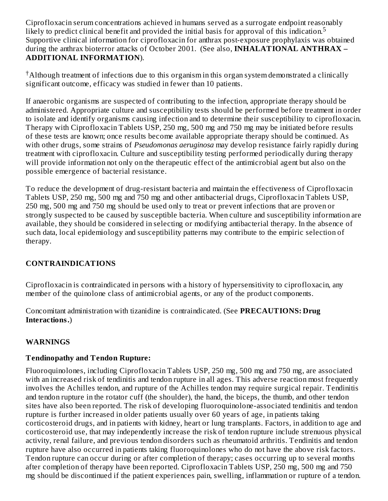Ciprofloxacin serum concentrations achieved in humans served as a surrogate endpoint reasonably likely to predict clinical benefit and provided the initial basis for approval of this indication.<sup>5</sup> Supportive clinical information for ciprofloxacin for anthrax post-exposure prophylaxis was obtained during the anthrax bioterror attacks of October 2001. (See also, **INHALATIONAL ANTHRAX – ADDITIONAL INFORMATION**).

 $^\dagger$ Although treatment of infections due to this organism in this organ system demonstrated a clinically significant outcome, efficacy was studied in fewer than 10 patients.

If anaerobic organisms are suspected of contributing to the infection, appropriate therapy should be administered. Appropriate culture and susceptibility tests should be performed before treatment in order to isolate and identify organisms causing infection and to determine their susceptibility to ciprofloxacin. Therapy with Ciprofloxacin Tablets USP, 250 mg, 500 mg and 750 mg may be initiated before results of these tests are known; once results become available appropriate therapy should be continued. As with other drugs, some strains of *Pseudomonas aeruginosa* may develop resistance fairly rapidly during treatment with ciprofloxacin. Culture and susceptibility testing performed periodically during therapy will provide information not only on the therapeutic effect of the antimicrobial agent but also on the possible emergence of bacterial resistance.

To reduce the development of drug-resistant bacteria and maintain the effectiveness of Ciprofloxacin Tablets USP, 250 mg, 500 mg and 750 mg and other antibacterial drugs, Ciprofloxacin Tablets USP, 250 mg, 500 mg and 750 mg should be used only to treat or prevent infections that are proven or strongly suspected to be caused by susceptible bacteria. When culture and susceptibility information are available, they should be considered in selecting or modifying antibacterial therapy. In the absence of such data, local epidemiology and susceptibility patterns may contribute to the empiric selection of therapy.

## **CONTRAINDICATIONS**

Ciprofloxacin is contraindicated in persons with a history of hypersensitivity to ciprofloxacin, any member of the quinolone class of antimicrobial agents, or any of the product components.

Concomitant administration with tizanidine is contraindicated. (See **PRECAUTIONS: Drug Interactions.**)

## **WARNINGS**

#### **Tendinopathy and Tendon Rupture:**

Fluoroquinolones, including Ciprofloxacin Tablets USP, 250 mg, 500 mg and 750 mg, are associated with an increased risk of tendinitis and tendon rupture in all ages. This adverse reaction most frequently involves the Achilles tendon, and rupture of the Achilles tendon may require surgical repair. Tendinitis and tendon rupture in the rotator cuff (the shoulder), the hand, the biceps, the thumb, and other tendon sites have also been reported. The risk of developing fluoroquinolone-associated tendinitis and tendon rupture is further increased in older patients usually over 60 years of age, in patients taking corticosteroid drugs, and in patients with kidney, heart or lung transplants. Factors, in addition to age and corticosteroid use, that may independently increase the risk of tendon rupture include strenuous physical activity, renal failure, and previous tendon disorders such as rheumatoid arthritis. Tendinitis and tendon rupture have also occurred in patients taking fluoroquinolones who do not have the above risk factors. Tendon rupture can occur during or after completion of therapy; cases occurring up to several months after completion of therapy have been reported. Ciprofloxacin Tablets USP, 250 mg, 500 mg and 750 mg should be discontinued if the patient experiences pain, swelling, inflammation or rupture of a tendon.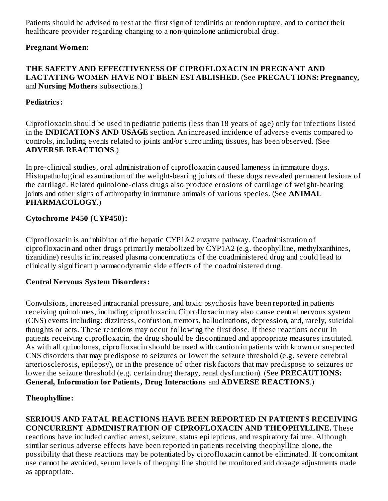Patients should be advised to rest at the first sign of tendinitis or tendon rupture, and to contact their healthcare provider regarding changing to a non-quinolone antimicrobial drug.

#### **Pregnant Women:**

#### **THE SAFETY AND EFFECTIVENESS OF CIPROFLOXACIN IN PREGNANT AND LACTATING WOMEN HAVE NOT BEEN ESTABLISHED.** (See **PRECAUTIONS: Pregnancy,** and **Nursing Mothers** subsections.)

## **Pediatrics:**

Ciprofloxacin should be used in pediatric patients (less than 18 years of age) only for infections listed in the **INDICATIONS AND USAGE** section. An increased incidence of adverse events compared to controls, including events related to joints and/or surrounding tissues, has been observed. (See **ADVERSE REACTIONS**.)

In pre-clinical studies, oral administration of ciprofloxacin caused lameness in immature dogs. Histopathological examination of the weight-bearing joints of these dogs revealed permanent lesions of the cartilage. Related quinolone-class drugs also produce erosions of cartilage of weight-bearing joints and other signs of arthropathy in immature animals of various species. (See **ANIMAL PHARMACOLOGY**.)

## **Cytochrome P450 (CYP450):**

Ciprofloxacin is an inhibitor of the hepatic CYP1A2 enzyme pathway. Coadministration of ciprofloxacin and other drugs primarily metabolized by CYP1A2 (e.g. theophylline, methylxanthines, tizanidine) results in increased plasma concentrations of the coadministered drug and could lead to clinically significant pharmacodynamic side effects of the coadministered drug.

#### **Central Nervous System Disorders:**

Convulsions, increased intracranial pressure, and toxic psychosis have been reported in patients receiving quinolones, including ciprofloxacin. Ciprofloxacin may also cause central nervous system (CNS) events including: dizziness, confusion, tremors, hallucinations, depression, and, rarely, suicidal thoughts or acts. These reactions may occur following the first dose. If these reactions occur in patients receiving ciprofloxacin, the drug should be discontinued and appropriate measures instituted. As with all quinolones, ciprofloxacin should be used with caution in patients with known or suspected CNS disorders that may predispose to seizures or lower the seizure threshold (e.g. severe cerebral arteriosclerosis, epilepsy), or in the presence of other risk factors that may predispose to seizures or lower the seizure threshold (e.g. certain drug therapy, renal dysfunction). (See **PRECAUTIONS: General, Information for Patients, Drug Interactions** and **ADVERSE REACTIONS**.)

## **Theophylline:**

**SERIOUS AND FATAL REACTIONS HAVE BEEN REPORTED IN PATIENTS RECEIVING CONCURRENT ADMINISTRATION OF CIPROFLOXACIN AND THEOPHYLLINE.** These reactions have included cardiac arrest, seizure, status epilepticus, and respiratory failure. Although similar serious adverse effects have been reported in patients receiving theophylline alone, the possibility that these reactions may be potentiated by ciprofloxacin cannot be eliminated. If concomitant use cannot be avoided, serum levels of theophylline should be monitored and dosage adjustments made as appropriate.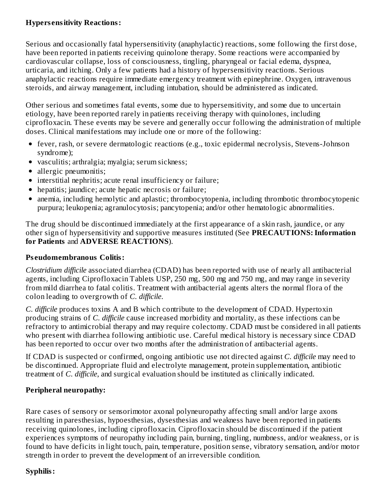## **Hypers ensitivity Reactions:**

Serious and occasionally fatal hypersensitivity (anaphylactic) reactions, some following the first dose, have been reported in patients receiving quinolone therapy. Some reactions were accompanied by cardiovascular collapse, loss of consciousness, tingling, pharyngeal or facial edema, dyspnea, urticaria, and itching. Only a few patients had a history of hypersensitivity reactions. Serious anaphylactic reactions require immediate emergency treatment with epinephrine. Oxygen, intravenous steroids, and airway management, including intubation, should be administered as indicated.

Other serious and sometimes fatal events, some due to hypersensitivity, and some due to uncertain etiology, have been reported rarely in patients receiving therapy with quinolones, including ciprofloxacin. These events may be severe and generally occur following the administration of multiple doses. Clinical manifestations may include one or more of the following:

- fever, rash, or severe dermatologic reactions (e.g., toxic epidermal necrolysis, Stevens-Johnson syndrome);
- vasculitis; arthralgia; myalgia; serum sickness;
- allergic pneumonitis;
- interstitial nephritis; acute renal insufficiency or failure;
- hepatitis; jaundice; acute hepatic necrosis or failure;
- anemia, including hemolytic and aplastic; thrombocytopenia, including thrombotic thrombocytopenic purpura; leukopenia; agranulocytosis; pancytopenia; and/or other hematologic abnormalities.

The drug should be discontinued immediately at the first appearance of a skin rash, jaundice, or any other sign of hypersensitivity and supportive measures instituted (See **PRECAUTIONS:Information for Patients** and **ADVERSE REACTIONS**).

#### **Ps eudomembranous Colitis:**

*Clostridium difficile* associated diarrhea (CDAD) has been reported with use of nearly all antibacterial agents, including Ciprofloxacin Tablets USP, 250 mg, 500 mg and 750 mg, and may range in severity from mild diarrhea to fatal colitis. Treatment with antibacterial agents alters the normal flora of the colon leading to overgrowth of *C. difficile*.

*C. difficile* produces toxins A and B which contribute to the development of CDAD. Hypertoxin producing strains of *C. difficile* cause increased morbidity and mortality, as these infections can be refractory to antimicrobial therapy and may require colectomy. CDAD must be considered in all patients who present with diarrhea following antibiotic use. Careful medical history is necessary since CDAD has been reported to occur over two months after the administration of antibacterial agents.

If CDAD is suspected or confirmed, ongoing antibiotic use not directed against *C. difficile* may need to be discontinued. Appropriate fluid and electrolyte management, protein supplementation, antibiotic treatment of *C. difficile*, and surgical evaluation should be instituted as clinically indicated.

## **Peripheral neuropathy:**

Rare cases of sensory or sensorimotor axonal polyneuropathy affecting small and/or large axons resulting in paresthesias, hypoesthesias, dysesthesias and weakness have been reported in patients receiving quinolones, including ciprofloxacin. Ciprofloxacin should be discontinued if the patient experiences symptoms of neuropathy including pain, burning, tingling, numbness, and/or weakness, or is found to have deficits in light touch, pain, temperature, position sense, vibratory sensation, and/or motor strength in order to prevent the development of an irreversible condition.

## **Syphilis:**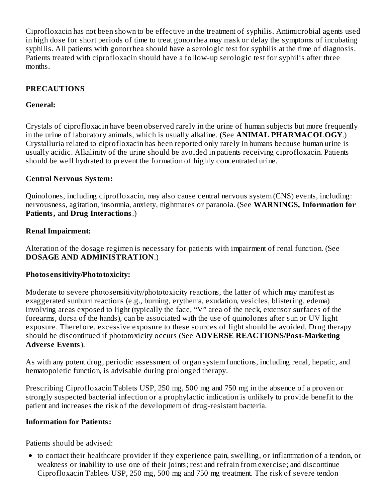Ciprofloxacin has not been shown to be effective in the treatment of syphilis. Antimicrobial agents used in high dose for short periods of time to treat gonorrhea may mask or delay the symptoms of incubating syphilis. All patients with gonorrhea should have a serologic test for syphilis at the time of diagnosis. Patients treated with ciprofloxacin should have a follow-up serologic test for syphilis after three months.

## **PRECAUTIONS**

#### **General:**

Crystals of ciprofloxacin have been observed rarely in the urine of human subjects but more frequently in the urine of laboratory animals, which is usually alkaline. (See **ANIMAL PHARMACOLOGY**.) Crystalluria related to ciprofloxacin has been reported only rarely in humans because human urine is usually acidic. Alkalinity of the urine should be avoided in patients receiving ciprofloxacin. Patients should be well hydrated to prevent the formation of highly concentrated urine.

## **Central Nervous System:**

Quinolones, including ciprofloxacin, may also cause central nervous system (CNS) events, including: nervousness, agitation, insomnia, anxiety, nightmares or paranoia. (See **WARNINGS, Information for Patients,** and **Drug Interactions**.)

#### **Renal Impairment:**

Alteration of the dosage regimen is necessary for patients with impairment of renal function. (See **DOSAGE AND ADMINISTRATION**.)

#### **Photos ensitivity/Phototoxicity:**

Moderate to severe photosensitivity/phototoxicity reactions, the latter of which may manifest as exaggerated sunburn reactions (e.g., burning, erythema, exudation, vesicles, blistering, edema) involving areas exposed to light (typically the face, "V" area of the neck, extensor surfaces of the forearms, dorsa of the hands), can be associated with the use of quinolones after sun or UV light exposure. Therefore, excessive exposure to these sources of light should be avoided. Drug therapy should be discontinued if phototoxicity occurs (See **ADVERSE REACTIONS/Post-Marketing Advers e Events**).

As with any potent drug, periodic assessment of organ system functions, including renal, hepatic, and hematopoietic function, is advisable during prolonged therapy.

Prescribing Ciprofloxacin Tablets USP, 250 mg, 500 mg and 750 mg in the absence of a proven or strongly suspected bacterial infection or a prophylactic indication is unlikely to provide benefit to the patient and increases the risk of the development of drug-resistant bacteria.

#### **Information for Patients:**

Patients should be advised:

to contact their healthcare provider if they experience pain, swelling, or inflammation of a tendon, or weakness or inability to use one of their joints; rest and refrain from exercise; and discontinue Ciprofloxacin Tablets USP, 250 mg, 500 mg and 750 mg treatment. The risk of severe tendon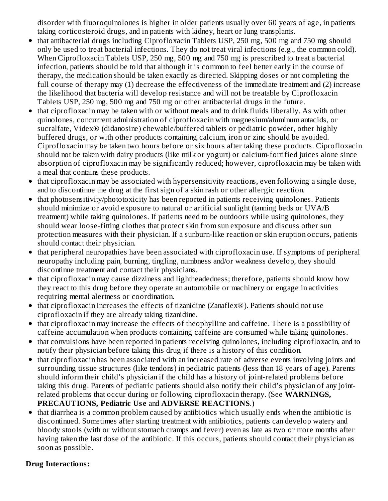disorder with fluoroquinolones is higher in older patients usually over 60 years of age, in patients taking corticosteroid drugs, and in patients with kidney, heart or lung transplants.

- that antibacterial drugs including Ciprofloxacin Tablets USP, 250 mg, 500 mg and 750 mg should  $\bullet$ only be used to treat bacterial infections. They do not treat viral infections (e.g., the common cold). When Ciprofloxacin Tablets USP, 250 mg, 500 mg and 750 mg is prescribed to treat a bacterial infection, patients should be told that although it is common to feel better early in the course of therapy, the medication should be taken exactly as directed. Skipping doses or not completing the full course of therapy may (1) decrease the effectiveness of the immediate treatment and (2) increase the likelihood that bacteria will develop resistance and will not be treatable by Ciprofloxacin Tablets USP, 250 mg, 500 mg and 750 mg or other antibacterial drugs in the future.
- $\bullet$ that ciprofloxacin may be taken with or without meals and to drink fluids liberally. As with other quinolones, concurrent administration of ciprofloxacin with magnesium/aluminum antacids, or sucralfate, Videx® (didanosine) chewable/buffered tablets or pediatric powder, other highly buffered drugs, or with other products containing calcium, iron or zinc should be avoided. Ciprofloxacin may be taken two hours before or six hours after taking these products. Ciprofloxacin should not be taken with dairy products (like milk or yogurt) or calcium-fortified juices alone since absorption of ciprofloxacin may be significantly reduced; however, ciprofloxacin may be taken with a meal that contains these products.
- that ciprofloxacin may be associated with hypersensitivity reactions, even following a single dose, and to discontinue the drug at the first sign of a skin rash or other allergic reaction.
- that photosensitivity/phototoxicity has been reported in patients receiving quinolones. Patients  $\bullet$ should minimize or avoid exposure to natural or artificial sunlight (tanning beds or UVA/B treatment) while taking quinolones. If patients need to be outdoors while using quinolones, they should wear loose-fitting clothes that protect skin from sun exposure and discuss other sun protection measures with their physician. If a sunburn-like reaction or skin eruption occurs, patients should contact their physician.
- that peripheral neuropathies have been associated with ciprofloxacin use. If symptoms of peripheral  $\bullet$ neuropathy including pain, burning, tingling, numbness and/or weakness develop, they should discontinue treatment and contact their physicians.
- that ciprofloxacin may cause dizziness and lightheadedness; therefore, patients should know how they react to this drug before they operate an automobile or machinery or engage in activities requiring mental alertness or coordination.
- $\bullet$ that ciprofloxacin increases the effects of tizanidine (Zanaflex®). Patients should not use ciprofloxacin if they are already taking tizanidine.
- that ciprofloxacin may increase the effects of theophylline and caffeine. There is a possibility of caffeine accumulation when products containing caffeine are consumed while taking quinolones.
- that convulsions have been reported in patients receiving quinolones, including ciprofloxacin, and to notify their physician before taking this drug if there is a history of this condition.
- that ciprofloxacin has been associated with an increased rate of adverse events involving joints and  $\bullet$ surrounding tissue structures (like tendons) in pediatric patients (less than 18 years of age). Parents should inform their child's physician if the child has a history of joint-related problems before taking this drug. Parents of pediatric patients should also notify their child's physician of any jointrelated problems that occur during or following ciprofloxacin therapy. (See **WARNINGS, PRECAUTIONS, Pediatric Us e** and **ADVERSE REACTIONS**.)
- that diarrhea is a common problem caused by antibiotics which usually ends when the antibiotic is  $\bullet$ discontinued. Sometimes after starting treatment with antibiotics, patients can develop watery and bloody stools (with or without stomach cramps and fever) even as late as two or more months after having taken the last dose of the antibiotic. If this occurs, patients should contact their physician as soon as possible.

#### **Drug Interactions:**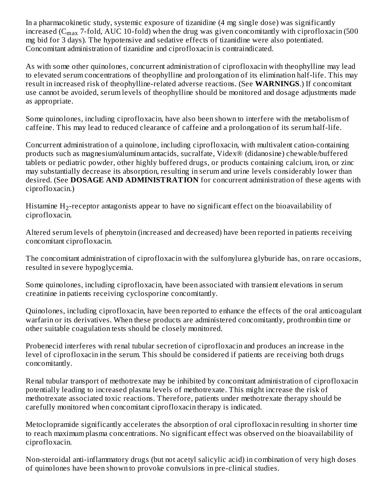In a pharmacokinetic study, systemic exposure of tizanidine (4 mg single dose) was significantly increased (C $_{\rm max}$  7-fold, AUC 10-fold) when the drug was given concomitantly with ciprofloxacin (500 mg bid for 3 days). The hypotensive and sedative effects of tizanidine were also potentiated. Concomitant administration of tizanidine and ciprofloxacin is contraindicated.

As with some other quinolones, concurrent administration of ciprofloxacin with theophylline may lead to elevated serum concentrations of theophylline and prolongation of its elimination half-life. This may result in increased risk of theophylline-related adverse reactions. (See **WARNINGS**.) If concomitant use cannot be avoided, serum levels of theophylline should be monitored and dosage adjustments made as appropriate.

Some quinolones, including ciprofloxacin, have also been shown to interfere with the metabolism of caffeine. This may lead to reduced clearance of caffeine and a prolongation of its serum half-life.

Concurrent administration of a quinolone, including ciprofloxacin, with multivalent cation-containing products such as magnesium/aluminum antacids, sucralfate, Videx® (didanosine) chewable/buffered tablets or pediatric powder, other highly buffered drugs, or products containing calcium, iron, or zinc may substantially decrease its absorption, resulting in serum and urine levels considerably lower than desired. (See **DOSAGE AND ADMINISTRATION** for concurrent administration of these agents with ciprofloxacin.)

Histamine  $\rm{H}_{2}$ -receptor antagonists appear to have no significant effect on the bioavailability of ciprofloxacin.

Altered serum levels of phenytoin (increased and decreased) have been reported in patients receiving concomitant ciprofloxacin.

The concomitant administration of ciprofloxacin with the sulfonylurea glyburide has, on rare occasions, resulted in severe hypoglycemia.

Some quinolones, including ciprofloxacin, have been associated with transient elevations in serum creatinine in patients receiving cyclosporine concomitantly.

Quinolones, including ciprofloxacin, have been reported to enhance the effects of the oral anticoagulant warfarin or its derivatives. When these products are administered concomitantly, prothrombin time or other suitable coagulation tests should be closely monitored.

Probenecid interferes with renal tubular secretion of ciprofloxacin and produces an increase in the level of ciprofloxacin in the serum. This should be considered if patients are receiving both drugs concomitantly.

Renal tubular transport of methotrexate may be inhibited by concomitant administration of ciprofloxacin potentially leading to increased plasma levels of methotrexate. This might increase the risk of methotrexate associated toxic reactions. Therefore, patients under methotrexate therapy should be carefully monitored when concomitant ciprofloxacin therapy is indicated.

Metoclopramide significantly accelerates the absorption of oral ciprofloxacin resulting in shorter time to reach maximum plasma concentrations. No significant effect was observed on the bioavailability of ciprofloxacin.

Non-steroidal anti-inflammatory drugs (but not acetyl salicylic acid) in combination of very high doses of quinolones have been shown to provoke convulsions in pre-clinical studies.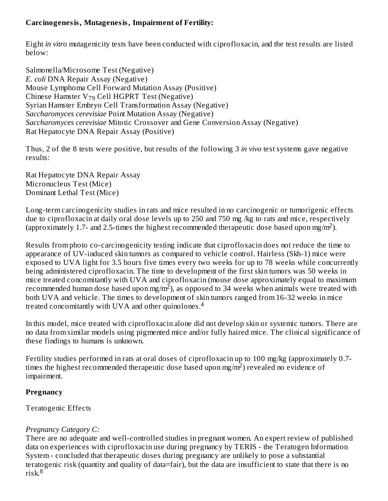#### **Carcinogenesis, Mutagenesis, Impairment of Fertility:**

Eight *in vitro* mutagenicity tests have been conducted with ciprofloxacin, and the test results are listed below:

Salmonella/Microsome Test (Negative) *E. coli* DNA Repair Assay (Negative) Mouse Lymphoma Cell Forward Mutation Assay (Positive) Chinese Hamster  $V_{79}$  Cell HGPRT Test (Negative) Syrian Hamster Embryo Cell Transformation Assay (Negative) *Saccharomyces cerevisiae* Point Mutation Assay (Negative) *Saccharomyces cerevisiae* Mitotic Crossover and Gene Conversion Assay (Negative) Rat Hepatocyte DNA Repair Assay (Positive)

Thus, 2 of the 8 tests were positive, but results of the following 3 *in vivo* test systems gave negative results:

Rat Hepatocyte DNA Repair Assay Micronucleus Test (Mice) Dominant Lethal Test (Mice)

Long-term carcinogenicity studies in rats and mice resulted in no carcinogenic or tumorigenic effects due to ciprofloxacin at daily oral dose levels up to 250 and 750 mg /kg to rats and mice, respectively (approximately 1.7- and 2.5-times the highest recommended therapeutic dose based upon mg/m<sup>2</sup>).

Results from photo co-carcinogenicity testing indicate that ciprofloxacin does not reduce the time to appearance of UV-induced skin tumors as compared to vehicle control. Hairless (Skh-1) mice were exposed to UVA light for 3.5 hours five times every two weeks for up to 78 weeks while concurrently being administered ciprofloxacin. The time to development of the first skin tumors was 50 weeks in mice treated concomitantly with UVA and ciprofloxacin (mouse dose approximately equal to maximum recommended human dose based upon mg/m<sup>2</sup>), as opposed to 34 weeks when animals were treated with both UVA and vehicle. The times to development of skin tumors ranged from 16-32 weeks in mice treated concomitantly with UVA and other quinolones. 4

In this model, mice treated with ciprofloxacin alone did not develop skin or systemic tumors. There are no data from similar models using pigmented mice and/or fully haired mice. The clinical significance of these findings to humans is unknown.

Fertility studies performed in rats at oral doses of ciprofloxacin up to 100 mg/kg (approximately 0.7 times the highest recommended therapeutic dose based upon mg/m<sup>2</sup>) revealed no evidence of impairment.

#### **Pregnancy**

Teratogenic Effects

## *Pregnancy Category C:*

There are no adequate and well-controlled studies in pregnant women. An expert review of published data on experiences with ciprofloxacin use during pregnancy by TERIS - the Teratogen Information System - concluded that therapeutic doses during pregnancy are unlikely to pose a substantial teratogenic risk (quantity and quality of data=fair), but the data are insufficient to state that there is no risk. 8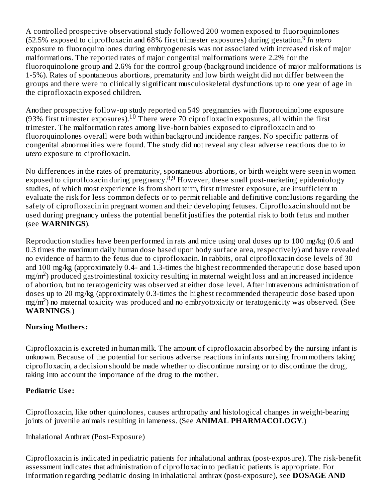A controlled prospective observational study followed 200 women exposed to fluoroquinolones (52.5% exposed to ciprofloxacin and 68% first trimester exposures) during gestation.<sup>9</sup> In utero exposure to fluoroquinolones during embryogenesis was not associated with increased risk of major malformations. The reported rates of major congenital malformations were 2.2% for the fluoroquinolone group and 2.6% for the control group (background incidence of major malformations is 1-5%). Rates of spontaneous abortions, prematurity and low birth weight did not differ between the groups and there were no clinically significant musculoskeletal dysfunctions up to one year of age in the ciprofloxacin exposed children.

Another prospective follow-up study reported on 549 pregnancies with fluoroquinolone exposure (93% first trimester exposures).<sup>10</sup> There were 70 ciprofloxacin exposures, all within the first trimester. The malformation rates among live-born babies exposed to ciprofloxacin and to fluoroquinolones overall were both within background incidence ranges. No specific patterns of congenital abnormalities were found. The study did not reveal any clear adverse reactions due to *in utero* exposure to ciprofloxacin.

No differences in the rates of prematurity, spontaneous abortions, or birth weight were seen in women exposed to ciprofloxacin during pregnancy.  $8.9$  However, these small post-marketing epidemiology studies, of which most experience is from short term, first trimester exposure, are insufficient to evaluate the risk for less common defects or to permit reliable and definitive conclusions regarding the safety of ciprofloxacin in pregnant women and their developing fetuses. Ciprofloxacin should not be used during pregnancy unless the potential benefit justifies the potential risk to both fetus and mother (see **WARNINGS**).

Reproduction studies have been performed in rats and mice using oral doses up to 100 mg/kg (0.6 and 0.3 times the maximum daily human dose based upon body surface area, respectively) and have revealed no evidence of harm to the fetus due to ciprofloxacin. In rabbits, oral ciprofloxacin dose levels of 30 and 100 mg/kg (approximately 0.4- and 1.3-times the highest recommended therapeutic dose based upon  $mg/m<sup>2</sup>$ ) produced gastrointestinal toxicity resulting in maternal weight loss and an increased incidence of abortion, but no teratogenicity was observed at either dose level. After intravenous administration of doses up to 20 mg/kg (approximately 0.3-times the highest recommended therapeutic dose based upon  $mg/m<sup>2</sup>$ ) no maternal toxicity was produced and no embryotoxicity or teratogenicity was observed. (See **WARNINGS**.)

## **Nursing Mothers:**

Ciprofloxacin is excreted in human milk. The amount of ciprofloxacin absorbed by the nursing infant is unknown. Because of the potential for serious adverse reactions in infants nursing from mothers taking ciprofloxacin, a decision should be made whether to discontinue nursing or to discontinue the drug, taking into account the importance of the drug to the mother.

# **Pediatric Us e:**

Ciprofloxacin, like other quinolones, causes arthropathy and histological changes in weight-bearing joints of juvenile animals resulting in lameness. (See **ANIMAL PHARMACOLOGY**.)

Inhalational Anthrax (Post-Exposure)

Ciprofloxacin is indicated in pediatric patients for inhalational anthrax (post-exposure). The risk-benefit assessment indicates that administration of ciprofloxacin to pediatric patients is appropriate. For information regarding pediatric dosing in inhalational anthrax (post-exposure), see **DOSAGE AND**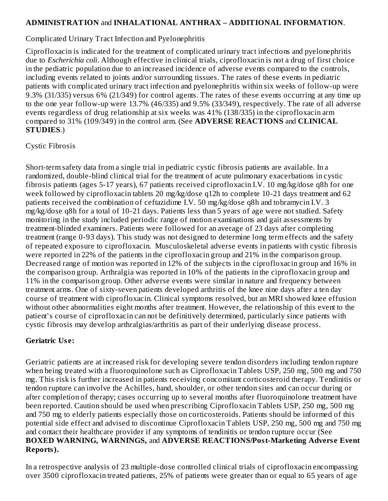#### **ADMINISTRATION** and **INHALATIONAL ANTHRAX – ADDITIONAL INFORMATION**.

#### Complicated Urinary Tract Infection and Pyelonephritis

Ciprofloxacin is indicated for the treatment of complicated urinary tract infections and pyelonephritis due to *Escherichia coli*. Although effective in clinical trials, ciprofloxacin is not a drug of first choice in the pediatric population due to an increased incidence of adverse events compared to the controls, including events related to joints and/or surrounding tissues. The rates of these events in pediatric patients with complicated urinary tract infection and pyelonephritis within six weeks of follow-up were 9.3% (31/335) versus 6% (21/349) for control agents. The rates of these events occurring at any time up to the one year follow-up were 13.7% (46/335) and 9.5% (33/349), respectively. The rate of all adverse events regardless of drug relationship at six weeks was 41% (138/335) in the ciprofloxacin arm compared to 31% (109/349) in the control arm. (See **ADVERSE REACTIONS** and **CLINICAL STUDIES**.)

## Cystic Fibrosis

Short-term safety data from a single trial in pediatric cystic fibrosis patients are available. In a randomized, double-blind clinical trial for the treatment of acute pulmonary exacerbations in cystic fibrosis patients (ages 5-17 years), 67 patients received ciprofloxacin I.V. 10 mg/kg/dose q8h for one week followed by ciprofloxacin tablets 20 mg/kg/dose q12h to complete 10-21 days treatment and 62 patients received the combination of ceftazidime I.V. 50 mg/kg/dose q8h and tobramycin I.V. 3 mg/kg/dose q8h for a total of 10-21 days. Patients less than 5 years of age were not studied. Safety monitoring in the study included periodic range of motion examinations and gait assessments by treatment-blinded examiners. Patients were followed for an average of 23 days after completing treatment (range 0-93 days). This study was not designed to determine long term effects and the safety of repeated exposure to ciprofloxacin. Musculoskeletal adverse events in patients with cystic fibrosis were reported in 22% of the patients in the ciprofloxacin group and 21% in the comparison group. Decreased range of motion was reported in 12% of the subjects in the ciprofloxacin group and 16% in the comparison group. Arthralgia was reported in 10% of the patients in the ciprofloxacin group and 11% in the comparison group. Other adverse events were similar in nature and frequency between treatment arms. One of sixty-seven patients developed arthritis of the knee nine days after a ten day course of treatment with ciprofloxacin. Clinical symptoms resolved, but an MRI showed knee effusion without other abnormalities eight months after treatment. However, the relationship of this event to the patient's course of ciprofloxacin can not be definitively determined, particularly since patients with cystic fibrosis may develop arthralgias/arthritis as part of their underlying disease process.

#### **Geriatric Us e:**

Geriatric patients are at increased risk for developing severe tendon disorders including tendon rupture when being treated with a fluoroquinolone such as Ciprofloxacin Tablets USP, 250 mg, 500 mg and 750 mg. This risk is further increased in patients receiving concomitant corticosteroid therapy. Tendinitis or tendon rupture can involve the Achilles, hand, shoulder, or other tendon sites and can occur during or after completion of therapy; cases occurring up to several months after fluoroquinolone treatment have been reported. Caution should be used when prescribing Ciprofloxacin Tablets USP, 250 mg, 500 mg and 750 mg to elderly patients especially those on corticosteroids. Patients should be informed of this potential side effect and advised to discontinue Ciprofloxacin Tablets USP, 250 mg, 500 mg and 750 mg and contact their healthcare provider if any symptoms of tendinitis or tendon rupture occur (See **BOXED WARNING, WARNINGS,** and **ADVERSE REACTIONS/Post-Marketing Advers e Event Reports).**

In a retrospective analysis of 23 multiple-dose controlled clinical trials of ciprofloxacin encompassing over 3500 ciprofloxacin treated patients, 25% of patients were greater than or equal to 65 years of age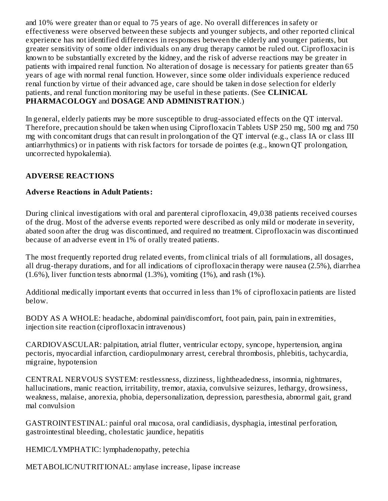and 10% were greater than or equal to 75 years of age. No overall differences in safety or effectiveness were observed between these subjects and younger subjects, and other reported clinical experience has not identified differences in responses between the elderly and younger patients, but greater sensitivity of some older individuals on any drug therapy cannot be ruled out. Ciprofloxacin is known to be substantially excreted by the kidney, and the risk of adverse reactions may be greater in patients with impaired renal function. No alteration of dosage is necessary for patients greater than 65 years of age with normal renal function. However, since some older individuals experience reduced renal function by virtue of their advanced age, care should be taken in dose selection for elderly patients, and renal function monitoring may be useful in these patients. (See **CLINICAL PHARMACOLOGY** and **DOSAGE AND ADMINISTRATION**.)

In general, elderly patients may be more susceptible to drug-associated effects on the QT interval. Therefore, precaution should be taken when using Ciprofloxacin Tablets USP 250 mg, 500 mg and 750 mg with concomitant drugs that can result in prolongation of the QT interval (e.g., class IA or class III antiarrhythmics) or in patients with risk factors for torsade de pointes (e.g., known QT prolongation, uncorrected hypokalemia).

## **ADVERSE REACTIONS**

#### **Advers e Reactions in Adult Patients:**

During clinical investigations with oral and parenteral ciprofloxacin, 49,038 patients received courses of the drug. Most of the adverse events reported were described as only mild or moderate in severity, abated soon after the drug was discontinued, and required no treatment. Ciprofloxacin was discontinued because of an adverse event in 1% of orally treated patients.

The most frequently reported drug related events, from clinical trials of all formulations, all dosages, all drug-therapy durations, and for all indications of ciprofloxacin therapy were nausea (2.5%), diarrhea  $(1.6\%)$ , liver function tests abnormal  $(1.3\%)$ , vomiting  $(1\%)$ , and rash  $(1\%)$ .

Additional medically important events that occurred in less than 1% of ciprofloxacin patients are listed below.

BODY AS A WHOLE: headache, abdominal pain/discomfort, foot pain, pain, pain in extremities, injection site reaction (ciprofloxacin intravenous)

CARDIOVASCULAR: palpitation, atrial flutter, ventricular ectopy, syncope, hypertension, angina pectoris, myocardial infarction, cardiopulmonary arrest, cerebral thrombosis, phlebitis, tachycardia, migraine, hypotension

CENTRAL NERVOUS SYSTEM: restlessness, dizziness, lightheadedness, insomnia, nightmares, hallucinations, manic reaction, irritability, tremor, ataxia, convulsive seizures, lethargy, drowsiness, weakness, malaise, anorexia, phobia, depersonalization, depression, paresthesia, abnormal gait, grand mal convulsion

GASTROINTESTINAL: painful oral mucosa, oral candidiasis, dysphagia, intestinal perforation, gastrointestinal bleeding, cholestatic jaundice, hepatitis

HEMIC/LYMPHATIC: lymphadenopathy, petechia

METABOLIC/NUTRITIONAL: amylase increase, lipase increase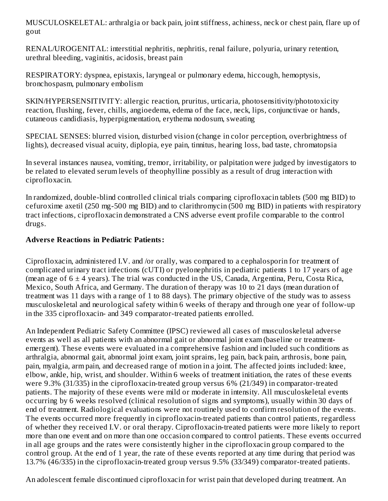MUSCULOSKELETAL: arthralgia or back pain, joint stiffness, achiness, neck or chest pain, flare up of gout

RENAL/UROGENITAL: interstitial nephritis, nephritis, renal failure, polyuria, urinary retention, urethral bleeding, vaginitis, acidosis, breast pain

RESPIRATORY: dyspnea, epistaxis, laryngeal or pulmonary edema, hiccough, hemoptysis, bronchospasm, pulmonary embolism

SKIN/HYPERSENSITIVITY: allergic reaction, pruritus, urticaria, photosensitivity/phototoxicity reaction, flushing, fever, chills, angioedema, edema of the face, neck, lips, conjunctivae or hands, cutaneous candidiasis, hyperpigmentation, erythema nodosum, sweating

SPECIAL SENSES: blurred vision, disturbed vision (change in color perception, overbrightness of lights), decreased visual acuity, diplopia, eye pain, tinnitus, hearing loss, bad taste, chromatopsia

In several instances nausea, vomiting, tremor, irritability, or palpitation were judged by investigators to be related to elevated serum levels of theophylline possibly as a result of drug interaction with ciprofloxacin.

In randomized, double-blind controlled clinical trials comparing ciprofloxacin tablets (500 mg BID) to cefuroxime axetil (250 mg-500 mg BID) and to clarithromycin (500 mg BID) in patients with respiratory tract infections, ciprofloxacin demonstrated a CNS adverse event profile comparable to the control drugs.

## **Advers e Reactions in Pediatric Patients:**

Ciprofloxacin, administered I.V. and /or orally, was compared to a cephalosporin for treatment of complicated urinary tract infections (cUTI) or pyelonephritis in pediatric patients 1 to 17 years of age (mean age of  $6 \pm 4$  years). The trial was conducted in the US, Canada, Argentina, Peru, Costa Rica, Mexico, South Africa, and Germany. The duration of therapy was 10 to 21 days (mean duration of treatment was 11 days with a range of 1 to 88 days). The primary objective of the study was to assess musculoskeletal and neurological safety within 6 weeks of therapy and through one year of follow-up in the 335 ciprofloxacin- and 349 comparator-treated patients enrolled.

An Independent Pediatric Safety Committee (IPSC) reviewed all cases of musculoskeletal adverse events as well as all patients with an abnormal gait or abnormal joint exam (baseline or treatmentemergent). These events were evaluated in a comprehensive fashion and included such conditions as arthralgia, abnormal gait, abnormal joint exam, joint sprains, leg pain, back pain, arthrosis, bone pain, pain, myalgia, arm pain, and decreased range of motion in a joint. The affected joints included: knee, elbow, ankle, hip, wrist, and shoulder. Within 6 weeks of treatment initiation, the rates of these events were 9.3% (31/335) in the ciprofloxacin-treated group versus 6% (21/349) in comparator-treated patients. The majority of these events were mild or moderate in intensity. All musculoskeletal events occurring by 6 weeks resolved (clinical resolution of signs and symptoms), usually within 30 days of end of treatment. Radiological evaluations were not routinely used to confirm resolution of the events. The events occurred more frequently in ciprofloxacin-treated patients than control patients, regardless of whether they received I.V. or oral therapy. Ciprofloxacin-treated patients were more likely to report more than one event and on more than one occasion compared to control patients. These events occurred in all age groups and the rates were consistently higher in the ciprofloxacin group compared to the control group. At the end of 1 year, the rate of these events reported at any time during that period was 13.7% (46/335) in the ciprofloxacin-treated group versus 9.5% (33/349) comparator-treated patients.

An adolescent female discontinued ciprofloxacin for wrist pain that developed during treatment. An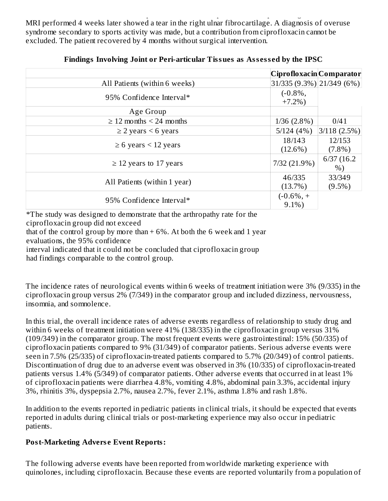An adolescent female discontinued ciprofloxacin for wrist pain that developed during treatment. An MRI performed 4 weeks later showed a tear in the right ulnar fibrocartilage. A diagnosis of overuse syndrome secondary to sports activity was made, but a contribution from ciprofloxacin cannot be excluded. The patient recovered by 4 months without surgical intervention.

|                               | Ciprofloxacin Comparator     |                     |
|-------------------------------|------------------------------|---------------------|
| All Patients (within 6 weeks) | $31/335 (9.3\%)$ 21/349 (6%) |                     |
| 95% Confidence Interval*      | $(-0.8\%,$<br>$+7.2%$        |                     |
| Age Group                     |                              |                     |
| $\geq$ 12 months < 24 months  | $1/36$ $(2.8\%)$             | 0/41                |
| $\geq$ 2 years < 6 years      | 5/124(4%)                    | $3/118$ $(2.5%)$    |
| $\geq 6$ years < 12 years     | 18/143<br>$(12.6\%)$         | 12/153<br>$(7.8\%)$ |
| $\geq$ 12 years to 17 years   | 7/32 (21.9%)                 | 6/37(16.2)<br>$%$ ) |
| All Patients (within 1 year)  | 46/335<br>(13.7%)            | 33/349<br>$(9.5\%)$ |
| 95% Confidence Interval*      | $(-0.6\%, +)$<br>$9.1\%$     |                     |

#### **Findings Involving Joint or Peri-articular Tissues as Ass ess ed by the IPSC**

\*The study was designed to demonstrate that the arthropathy rate for the ciprofloxacin group did not exceed

that of the control group by more than  $+6\%$ . At both the 6 week and 1 year

evaluations, the 95% confidence

interval indicated that it could not be concluded that ciprofloxacin group

had findings comparable to the control group.

The incidence rates of neurological events within 6 weeks of treatment initiation were 3% (9/335) in the ciprofloxacin group versus 2% (7/349) in the comparator group and included dizziness, nervousness, insomnia, and somnolence.

In this trial, the overall incidence rates of adverse events regardless of relationship to study drug and within 6 weeks of treatment initiation were 41% (138/335) in the ciprofloxacin group versus 31% (109/349) in the comparator group. The most frequent events were gastrointestinal: 15% (50/335) of ciprofloxacin patients compared to 9% (31/349) of comparator patients. Serious adverse events were seen in 7.5% (25/335) of ciprofloxacin-treated patients compared to 5.7% (20/349) of control patients. Discontinuation of drug due to an adverse event was observed in 3% (10/335) of ciprofloxacin-treated patients versus 1.4% (5/349) of comparator patients. Other adverse events that occurred in at least 1% of ciprofloxacin patients were diarrhea 4.8%, vomiting 4.8%, abdominal pain 3.3%, accidental injury 3%, rhinitis 3%, dyspepsia 2.7%, nausea 2.7%, fever 2.1%, asthma 1.8% and rash 1.8%.

In addition to the events reported in pediatric patients in clinical trials, it should be expected that events reported in adults during clinical trials or post-marketing experience may also occur in pediatric patients.

## **Post-Marketing Advers e Event Reports:**

The following adverse events have been reported from worldwide marketing experience with quinolones, including ciprofloxacin. Because these events are reported voluntarily from a population of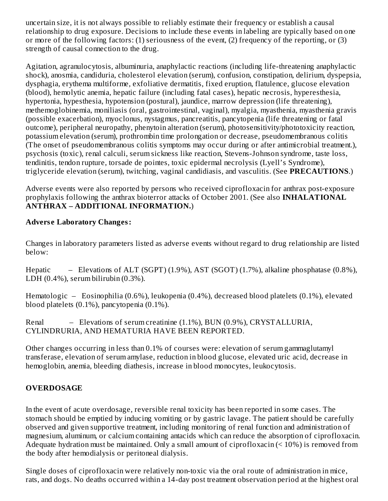uncertain size, it is not always possible to reliably estimate their frequency or establish a causal relationship to drug exposure. Decisions to include these events in labeling are typically based on one or more of the following factors: (1) seriousness of the event, (2) frequency of the reporting, or (3) strength of causal connection to the drug.

Agitation, agranulocytosis, albuminuria, anaphylactic reactions (including life-threatening anaphylactic shock), anosmia, candiduria, cholesterol elevation (serum), confusion, constipation, delirium, dyspepsia, dysphagia, erythema multiforme, exfoliative dermatitis, fixed eruption, flatulence, glucose elevation (blood), hemolytic anemia, hepatic failure (including fatal cases), hepatic necrosis, hyperesthesia, hypertonia, hypesthesia, hypotension (postural), jaundice, marrow depression (life threatening), methemoglobinemia, moniliasis (oral, gastrointestinal, vaginal), myalgia, myasthenia, myasthenia gravis (possible exacerbation), myoclonus, nystagmus, pancreatitis, pancytopenia (life threatening or fatal outcome), peripheral neuropathy, phenytoin alteration (serum), photosensitivity/phototoxicity reaction, potassium elevation (serum), prothrombin time prolongation or decrease, pseudomembranous colitis (The onset of pseudomembranous colitis symptoms may occur during or after antimicrobial treatment.), psychosis (toxic), renal calculi, serum sickness like reaction, Stevens-Johnson syndrome, taste loss, tendinitis, tendon rupture, torsade de pointes, toxic epidermal necrolysis (Lyell's Syndrome), triglyceride elevation (serum), twitching, vaginal candidiasis, and vasculitis. (See **PRECAUTIONS**.)

Adverse events were also reported by persons who received ciprofloxacin for anthrax post-exposure prophylaxis following the anthrax bioterror attacks of October 2001. (See also **INHALATIONAL ANTHRAX – ADDITIONAL INFORMATION.**)

## **Advers e Laboratory Changes:**

Changes in laboratory parameters listed as adverse events without regard to drug relationship are listed below:

Hepatic – Elevations of ALT (SGPT) (1.9%), AST (SGOT) (1.7%), alkaline phosphatase (0.8%), LDH (0.4%), serum bilirubin (0.3%).

Hematologic – Eosinophilia (0.6%), leukopenia (0.4%), decreased blood platelets (0.1%), elevated blood platelets (0.1%), pancytopenia (0.1%).

Renal – Elevations of serum creatinine (1.1%), BUN (0.9%), CRYSTALLURIA, CYLINDRURIA, AND HEMATURIA HAVE BEEN REPORTED.

Other changes occurring in less than 0.1% of courses were: elevation of serum gammaglutamyl transferase, elevation of serum amylase, reduction in blood glucose, elevated uric acid, decrease in hemoglobin, anemia, bleeding diathesis, increase in blood monocytes, leukocytosis.

## **OVERDOSAGE**

In the event of acute overdosage, reversible renal toxicity has been reported in some cases. The stomach should be emptied by inducing vomiting or by gastric lavage. The patient should be carefully observed and given supportive treatment, including monitoring of renal function and administration of magnesium, aluminum, or calcium containing antacids which can reduce the absorption of ciprofloxacin. Adequate hydration must be maintained. Only a small amount of ciprofloxacin (< 10%) is removed from the body after hemodialysis or peritoneal dialysis.

Single doses of ciprofloxacin were relatively non-toxic via the oral route of administration in mice, rats, and dogs. No deaths occurred within a 14-day post treatment observation period at the highest oral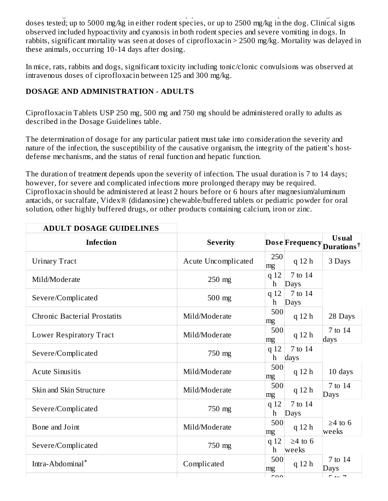rats, and dogs. No deaths occurred within a 14-day post treatment observation period at the highest oral doses tested; up to 5000 mg/kg in either rodent species, or up to 2500 mg/kg in the dog. Clinical signs observed included hypoactivity and cyanosis in both rodent species and severe vomiting in dogs. In rabbits, significant mortality was seen at doses of ciprofloxacin > 2500 mg/kg. Mortality was delayed in these animals, occurring 10-14 days after dosing.

In mice, rats, rabbits and dogs, significant toxicity including tonic/clonic convulsions was observed at intravenous doses of ciprofloxacin between 125 and 300 mg/kg.

## **DOSAGE AND ADMINISTRATION - ADULTS**

Ciprofloxacin Tablets USP 250 mg, 500 mg and 750 mg should be administered orally to adults as described in the Dosage Guidelines table.

The determination of dosage for any particular patient must take into consideration the severity and nature of the infection, the susceptibility of the causative organism, the integrity of the patient's hostdefense mechanisms, and the status of renal function and hepatic function.

The duration of treatment depends upon the severity of infection. The usual duration is 7 to 14 days; however, for severe and complicated infections more prolonged therapy may be required. Ciprofloxacin should be administered at least 2 hours before or 6 hours after magnesium/aluminum antacids, or sucralfate, Videx® (didanosine) chewable/buffered tablets or pediatric powder for oral solution, other highly buffered drugs, or other products containing calcium, iron or zinc.

| <b>ADULT DOSAGE GUIDELINES</b>      |                     |                                              |                        |                                      |
|-------------------------------------|---------------------|----------------------------------------------|------------------------|--------------------------------------|
| <b>Infection</b>                    | <b>Severity</b>     |                                              | Dose Frequency         | <b>Usual</b><br>Durations $^\dagger$ |
| <b>Urinary Tract</b>                | Acute Uncomplicated | 250<br>mg                                    | q 12 h                 | 3 Days                               |
| Mild/Moderate                       | 250 mg              | q 12<br>$\mathbf h$                          | 7 to 14<br>Days        |                                      |
| Severe/Complicated                  | 500 mg              | q 12<br>$\boldsymbol{\mathrm{h}}$            | 7 to 14<br>Days        |                                      |
| <b>Chronic Bacterial Prostatits</b> | Mild/Moderate       | 500<br>mg                                    | q 12 h                 | 28 Days                              |
| <b>Lower Respiratory Tract</b>      | Mild/Moderate       | 500<br>mg                                    | q 12 h                 | 7 to 14<br>days                      |
| Severe/Complicated                  | 750 mg              | q 12<br>$\boldsymbol{\mathrm{h}}$            | 7 to 14<br>days        |                                      |
| <b>Acute Sinusitis</b>              | Mild/Moderate       | 500<br>mg                                    | q 12 h                 | 10 days                              |
| Skin and Skin Structure             | Mild/Moderate       | 500<br>mg                                    | q 12 h                 | 7 to 14<br>Days                      |
| Severe/Complicated                  | 750 mg              | q <sub>12</sub><br>$\boldsymbol{\mathrm{h}}$ | 7 to 14<br>Days        |                                      |
| Bone and Joint                      | Mild/Moderate       | 500<br>mg                                    | q 12 h                 | $\geq$ 4 to 6<br>weeks               |
| Severe/Complicated                  | 750 mg              | q 12<br>$\mathbf h$                          | $\geq 4$ to 6<br>weeks |                                      |
| Intra-Abdominal <sup>*</sup>        | Complicated         | 500<br>mg                                    | q 12 h                 | 7 to 14<br>Days                      |
|                                     |                     | $F\Omega$                                    |                        | $F \leftarrow \pi$                   |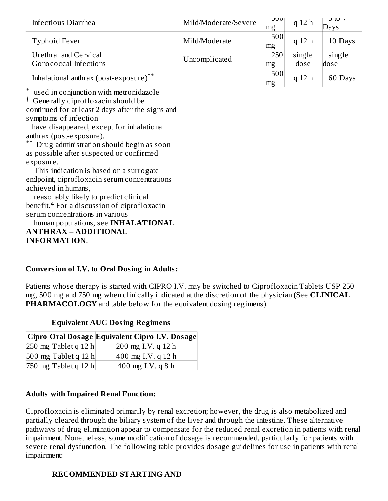| Infectious Diarrhea                                | Mild/Moderate/Severe | ouu<br>mg | q 12 h | 50/<br>Days |
|----------------------------------------------------|----------------------|-----------|--------|-------------|
| <b>Typhoid Fever</b>                               | Mild/Moderate        | 500<br>mg | q 12 h | 10 Days     |
| <b>Urethral and Cervical</b>                       | Uncomplicated        | 250       | single | single      |
| Gonococcal Infections                              |                      | mg        | dose   | dose        |
| Inhalational anthrax (post-exposure) <sup>**</sup> |                      | 500<br>mg | q 12 h | 60 Days     |

used in conjunction with metronidazole \*

Generally ciprofloxacin should be **†**

continued for at least 2 days after the signs and symptoms of infection

have disappeared, except for inhalational anthrax (post-exposure).

Drug administration should begin as soon \*\* as possible after suspected or confirmed exposure.

This indication is based on a surrogate endpoint, ciprofloxacin serum concentrations achieved in humans,

reasonably likely to predict clinical benefit.<sup>4</sup> For a discussion of ciprofloxacin serum concentrations in various

human populations, see **INHALATIONAL ANTHRAX – ADDITIONAL INFORMATION**.

#### **Conversion of I.V. to Oral Dosing in Adults:**

Patients whose therapy is started with CIPRO I.V. may be switched to Ciprofloxacin Tablets USP 250 mg, 500 mg and 750 mg when clinically indicated at the discretion of the physician (See **CLINICAL PHARMACOLOGY** and table below for the equivalent dosing regimens).

#### **Equivalent AUC Dosing Regimens**

|                                 | Cipro Oral Dosage Equivalent Cipro I.V. Dosage |
|---------------------------------|------------------------------------------------|
| $ 250 \text{ mg}$ Tablet q 12 h | 200 mg I.V. q 12 h                             |
| $ 500 \text{ mg}$ Tablet q 12 h | 400 mg I.V. q 12 h                             |
| $ 750 \text{ mg}$ Tablet q 12 h | 400 mg I.V. q 8 h                              |

#### **Adults with Impaired Renal Function:**

Ciprofloxacin is eliminated primarily by renal excretion; however, the drug is also metabolized and partially cleared through the biliary system of the liver and through the intestine. These alternative pathways of drug elimination appear to compensate for the reduced renal excretion in patients with renal impairment. Nonetheless, some modification of dosage is recommended, particularly for patients with severe renal dysfunction. The following table provides dosage guidelines for use in patients with renal impairment:

#### **RECOMMENDED STARTING AND**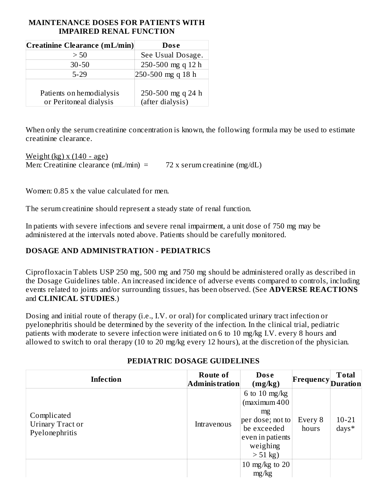#### **MAINTENANCE DOSES FOR PATIENTS WITH IMPAIRED RENAL FUNCTION**

| Creatinine Clearance (mL/min)                      | Dose                                  |
|----------------------------------------------------|---------------------------------------|
| > 50                                               | See Usual Dosage.                     |
| $30 - 50$                                          | 250-500 mg q 12 h                     |
| $5 - 29$                                           | 250-500 mg q 18 h                     |
| Patients on hemodialysis<br>or Peritoneal dialysis | 250-500 mg q 24 h<br>(after dialysis) |

When only the serum creatinine concentration is known, the following formula may be used to estimate creatinine clearance.

Weight (kg)  $x(140 - age)$ Men: Creatinine clearance  $(mL/min) = 72$  x serum creatinine  $(mg/dL)$ 

Women: 0.85 x the value calculated for men.

The serum creatinine should represent a steady state of renal function.

In patients with severe infections and severe renal impairment, a unit dose of 750 mg may be administered at the intervals noted above. Patients should be carefully monitored.

## **DOSAGE AND ADMINISTRATION - PEDIATRICS**

Ciprofloxacin Tablets USP 250 mg, 500 mg and 750 mg should be administered orally as described in the Dosage Guidelines table. An increased incidence of adverse events compared to controls, including events related to joints and/or surrounding tissues, has been observed. (See **ADVERSE REACTIONS** and **CLINICAL STUDIES**.)

Dosing and initial route of therapy (i.e., I.V. or oral) for complicated urinary tract infection or pyelonephritis should be determined by the severity of the infection. In the clinical trial, pediatric patients with moderate to severe infection were initiated on 6 to 10 mg/kg I.V. every 8 hours and allowed to switch to oral therapy (10 to 20 mg/kg every 12 hours), at the discretion of the physician.

|                                                   | Infection | Route of<br>Adminis tration | <b>Dose</b><br>(mg/kg)                                                                                                   | Frequency <br>Dura <u>tion</u> | <b>T</b> otal      |
|---------------------------------------------------|-----------|-----------------------------|--------------------------------------------------------------------------------------------------------------------------|--------------------------------|--------------------|
| Complicated<br>Urinary Tract or<br>Pyelonephritis |           | Intravenous                 | 6 to 10 mg/kg<br>$($ maximum 400<br>mg<br>per dose; not to<br>be exceeded<br>even in patients<br>weighing<br>$> 51 kg$ ) | Every 8<br>hours               | $10 - 21$<br>days* |
|                                                   |           |                             | 10 mg/kg to $20$<br>mg/kg                                                                                                |                                |                    |

# **PEDIATRIC DOSAGE GUIDELINES**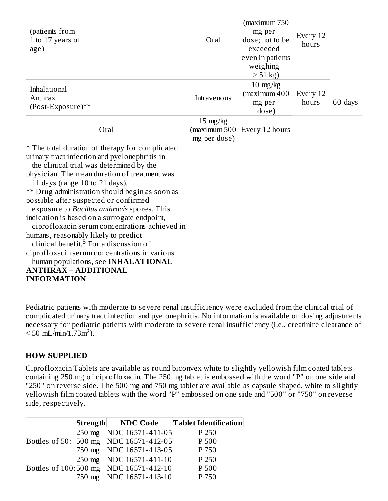| (patients from<br>1 to 17 years of<br>age)          | Oral                                               | (maximum 750<br>mg per<br>dose; not to be<br>exceeded<br>even in patients<br>weighing<br>$> 51 kg$ ) | Every 12<br>hours |         |
|-----------------------------------------------------|----------------------------------------------------|------------------------------------------------------------------------------------------------------|-------------------|---------|
| <b>Inhalational</b><br>Anthrax<br>(Post-Exposure)** | Intravenous                                        | $10 \text{ mg/kg}$<br>$(\text{maximum } 400)$<br>mg per<br>dose)                                     | Every 12<br>hours | 60 days |
| Oral                                                | $15 \text{ mg/kg}$<br>(maximum 500<br>mg per dose) | Every 12 hours                                                                                       |                   |         |

\* The total duration of therapy for complicated

urinary tract infection and pyelonephritis in

the clinical trial was determined by the physician. The mean duration of treatment was

11 days (range 10 to 21 days).

\*\* Drug administration should begin as soon as possible after suspected or confirmed

exposure to *Bacillus anthracis* spores. This indication is based on a surrogate endpoint,

ciprofloxacin serum concentrations achieved in

humans, reasonably likely to predict

clinical benefit.<sup>5</sup> For a discussion of ciprofloxacin serum concentrations in various

human populations, see **INHALATIONAL ANTHRAX – ADDITIONAL**

**INFORMATION**.

Pediatric patients with moderate to severe renal insufficiency were excluded from the clinical trial of complicated urinary tract infection and pyelonephritis. No information is available on dosing adjustments necessary for pediatric patients with moderate to severe renal insufficiency (i.e., creatinine clearance of  $< 50 \text{ mL/min} / 1.73 \text{ m}^2$ ).

## **HOW SUPPLIED**

Ciprofloxacin Tablets are available as round biconvex white to slightly yellowish film coated tablets containing 250 mg of ciprofloxacin. The 250 mg tablet is embossed with the word "P" on one side and "250" on reverse side. The 500 mg and 750 mg tablet are available as capsule shaped, white to slightly yellowish film coated tablets with the word "P" embossed on one side and "500" or "750" on reverse side, respectively.

|  | Strength NDC Code                      | <b>Tablet Identification</b> |
|--|----------------------------------------|------------------------------|
|  | 250 mg NDC 16571-411-05                | P 250                        |
|  | Bottles of 50: 500 mg NDC 16571-412-05 | P 500                        |
|  | 750 mg NDC 16571-413-05                | P 750                        |
|  | 250 mg NDC 16571-411-10                | P 250                        |
|  | Bottles of 100:500 mg NDC 16571-412-10 | P 500                        |
|  | 750 mg NDC 16571-413-10                | P 750                        |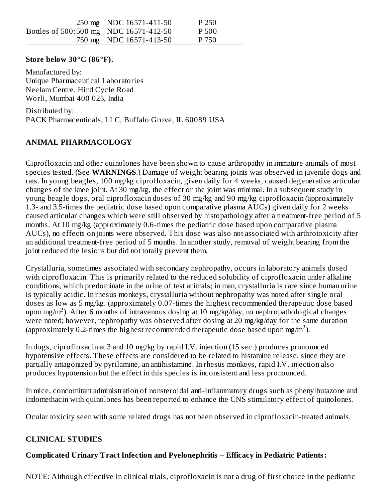|                                        | 250 mg NDC 16571-411-50 | P 250 |
|----------------------------------------|-------------------------|-------|
| Bottles of 500:500 mg NDC 16571-412-50 |                         | P 500 |
|                                        | 750 mg NDC 16571-413-50 | P 750 |

#### **Store below 30°C (86°F).**

Manufactured by: Unique Pharmaceutical Laboratories Neelam Centre, Hind Cycle Road Worli, Mumbai 400 025, India

Distributed by: PACK Pharmaceuticals, LLC, Buffalo Grove, IL 60089 USA

## **ANIMAL PHARMACOLOGY**

Ciprofloxacin and other quinolones have been shown to cause arthropathy in immature animals of most species tested. (See **WARNINGS**.) Damage of weight bearing joints was observed in juvenile dogs and rats. In young beagles, 100 mg/kg ciprofloxacin, given daily for 4 weeks, caused degenerative articular changes of the knee joint. At 30 mg/kg, the effect on the joint was minimal. In a subsequent study in young beagle dogs, oral ciprofloxacin doses of 30 mg/kg and 90 mg/kg ciprofloxacin (approximately 1.3- and 3.5-times the pediatric dose based upon comparative plasma AUCs) given daily for 2 weeks caused articular changes which were still observed by histopathology after a treatment-free period of 5 months. At 10 mg/kg (approximately 0.6-times the pediatric dose based upon comparative plasma AUCs), no effects on joints were observed. This dose was also not associated with arthrotoxicity after an additional treatment-free period of 5 months. In another study, removal of weight bearing from the joint reduced the lesions but did not totally prevent them.

Crystalluria, sometimes associated with secondary nephropathy, occurs in laboratory animals dosed with ciprofloxacin. This is primarily related to the reduced solubility of ciprofloxacin under alkaline conditions, which predominate in the urine of test animals; in man, crystalluria is rare since human urine is typically acidic. In rhesus monkeys, crystalluria without nephropathy was noted after single oral doses as low as 5 mg/kg. (approximately 0.07-times the highest recommended therapeutic dose based upon mg/m<sup>2</sup>). After 6 months of intravenous dosing at 10 mg/kg/day, no nephropathological changes were noted; however, nephropathy was observed after dosing at 20 mg/kg/day for the same duration (approximately 0.2-times the highest recommended therapeutic dose based upon mg/m<sup>2</sup>).

In dogs, ciprofloxacin at 3 and 10 mg/kg by rapid I.V. injection (15 sec.) produces pronounced hypotensive effects. These effects are considered to be related to histamine release, since they are partially antagonized by pyrilamine, an antihistamine. In rhesus monkeys, rapid I.V. injection also produces hypotension but the effect in this species is inconsistent and less pronounced.

In mice, concomitant administration of nonsteroidal anti-inflammatory drugs such as phenylbutazone and indomethacin with quinolones has been reported to enhance the CNS stimulatory effect of quinolones.

Ocular toxicity seen with some related drugs has not been observed in ciprofloxacin-treated animals.

#### **CLINICAL STUDIES**

#### **Complicated Urinary Tract Infection and Pyelonephritis – Efficacy in Pediatric Patients:**

NOTE: Although effective in clinical trials, ciprofloxacin is not a drug of first choice in the pediatric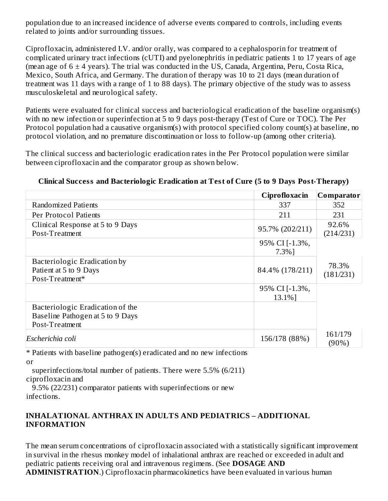population due to an increased incidence of adverse events compared to controls, including events related to joints and/or surrounding tissues.

Ciprofloxacin, administered I.V. and/or orally, was compared to a cephalosporin for treatment of complicated urinary tract infections (cUTI) and pyelonephritis in pediatric patients 1 to 17 years of age (mean age of  $6 \pm 4$  years). The trial was conducted in the US, Canada, Argentina, Peru, Costa Rica, Mexico, South Africa, and Germany. The duration of therapy was 10 to 21 days (mean duration of treatment was 11 days with a range of 1 to 88 days). The primary objective of the study was to assess musculoskeletal and neurological safety.

Patients were evaluated for clinical success and bacteriological eradication of the baseline organism(s) with no new infection or superinfection at 5 to 9 days post-therapy (Test of Cure or TOC). The Per Protocol population had a causative organism(s) with protocol specified colony count(s) at baseline, no protocol violation, and no premature discontinuation or loss to follow-up (among other criteria).

The clinical success and bacteriologic eradication rates in the Per Protocol population were similar between ciprofloxacin and the comparator group as shown below.

#### **Clinical Success and Bacteriologic Eradication at Test of Cure (5 to 9 Days Post-Therapy)**

|                                                                                        | Ciprofloxacin               | <b>Comparator</b>   |
|----------------------------------------------------------------------------------------|-----------------------------|---------------------|
| <b>Randomized Patients</b>                                                             | 337                         | 352                 |
| Per Protocol Patients                                                                  | 211                         | 231                 |
| Clinical Response at 5 to 9 Days<br>Post-Treatment                                     | 95.7% (202/211)             | 92.6%<br>(214/231)  |
|                                                                                        | 95% CI [-1.3%,<br>$7.3\%$ ] |                     |
| Bacteriologic Eradication by<br>Patient at 5 to 9 Days<br>Post-Treatment*              | 84.4% (178/211)             | 78.3%<br>(181/231)  |
|                                                                                        | 95% CI [-1.3%,<br>13.1%]    |                     |
| Bacteriologic Eradication of the<br>Baseline Pathogen at 5 to 9 Days<br>Post-Treatment |                             |                     |
| Escherichia coli                                                                       | 156/178 (88%)               | 161/179<br>$(90\%)$ |

\* Patients with baseline pathogen(s) eradicated and no new infections or

superinfections/total number of patients. There were 5.5% (6/211) ciprofloxacin and

9.5% (22/231) comparator patients with superinfections or new infections.

#### **INHALATIONAL ANTHRAX IN ADULTS AND PEDIATRICS – ADDITIONAL INFORMATION**

The mean serum concentrations of ciprofloxacin associated with a statistically significant improvement in survival in the rhesus monkey model of inhalational anthrax are reached or exceeded in adult and pediatric patients receiving oral and intravenous regimens. (See **DOSAGE AND ADMINISTRATION**.) Ciprofloxacin pharmacokinetics have been evaluated in various human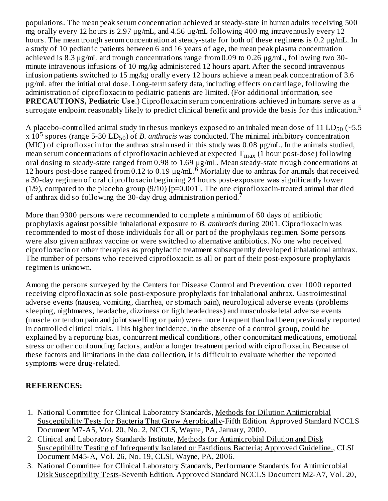populations. The mean peak serum concentration achieved at steady-state in human adults receiving 500 mg orally every 12 hours is 2.97 μg/mL, and 4.56 μg/mL following 400 mg intravenously every 12 hours. The mean trough serum concentration at steady-state for both of these regimens is 0.2 μg/mL. In a study of 10 pediatric patients between 6 and 16 years of age, the mean peak plasma concentration achieved is 8.3 μg/mL and trough concentrations range from 0.09 to 0.26 μg/mL, following two 30 minute intravenous infusions of 10 mg/kg administered 12 hours apart. After the second intravenous infusion patients switched to 15 mg/kg orally every 12 hours achieve a mean peak concentration of 3.6 μg/mL after the initial oral dose. Long-term safety data, including effects on cartilage, following the administration of ciprofloxacin to pediatric patients are limited. (For additional information, see **PRECAUTIONS, Pediatric Use.)** Ciprofloxacin serum concentrations achieved in humans serve as a surrogate endpoint reasonably likely to predict clinical benefit and provide the basis for this indication.  $^5$ 

A placebo-controlled animal study in rhesus monkeys exposed to an inhaled mean dose of  $11$   $LD_{50}$  (~5.5  $\rm x~10^5$  spores (range 5-30  $\rm LD_{50})$  of *B. anthracis* was conducted. The minimal inhibitory concentration (MIC) of ciprofloxacin for the anthrax strain used in this study was 0.08 μg/mL. In the animals studied, mean serum concentrations of ciprofloxacin achieved at expected  $\rm T_{max}$  (1 hour post-dose) following oral dosing to steady-state ranged from 0.98 to 1.69 μg/mL. Mean steady-state trough concentrations at 12 hours post-dose ranged from 0.12 to 0.19  $\mu$ g/mL.<sup>6</sup> Mortality due to anthrax for animals that received a 30-day regimen of oral ciprofloxacin beginning 24 hours post-exposure was significantly lower (1/9), compared to the placebo group  $(9/10)$  [p=0.001]. The one ciprofloxacin-treated animal that died of anthrax did so following the 30-day drug administration period.<sup>7</sup>

More than 9300 persons were recommended to complete a minimum of 60 days of antibiotic prophylaxis against possible inhalational exposure to *B. anthracis* during 2001. Ciprofloxacin was recommended to most of those individuals for all or part of the prophylaxis regimen. Some persons were also given anthrax vaccine or were switched to alternative antibiotics. No one who received ciprofloxacin or other therapies as prophylactic treatment subsequently developed inhalational anthrax. The number of persons who received ciprofloxacin as all or part of their post-exposure prophylaxis regimen is unknown.

Among the persons surveyed by the Centers for Disease Control and Prevention, over 1000 reported receiving ciprofloxacin as sole post-exposure prophylaxis for inhalational anthrax. Gastrointestinal adverse events (nausea, vomiting, diarrhea, or stomach pain), neurological adverse events (problems sleeping, nightmares, headache, dizziness or lightheadedness) and musculoskeletal adverse events (muscle or tendon pain and joint swelling or pain) were more frequent than had been previously reported in controlled clinical trials. This higher incidence, in the absence of a control group, could be explained by a reporting bias, concurrent medical conditions, other concomitant medications, emotional stress or other confounding factors, and/or a longer treatment period with ciprofloxacin. Because of these factors and limitations in the data collection, it is difficult to evaluate whether the reported symptoms were drug-related.

## **REFERENCES:**

- 1. National Committee for Clinical Laboratory Standards, Methods for Dilution Antimicrobial Susceptibility Tests for Bacteria That Grow Aerobically-Fifth Edition. Approved Standard NCCLS Document M7-A5, Vol. 20, No. 2, NCCLS, Wayne, PA, January, 2000.
- 2. Clinical and Laboratory Standards Institute, Methods for Antimicrobial Dilution and Disk Susceptibility Testing of Infrequently Isolated or Fastidious Bacteria; Approved Guideline., CLSI Document M45-A**,** Vol. 26, No. 19, CLSI, Wayne, PA, 2006.
- 3. National Committee for Clinical Laboratory Standards, Performance Standards for Antimicrobial Disk Susceptibility Tests-Seventh Edition. Approved Standard NCCLS Document M2-A7, Vol. 20,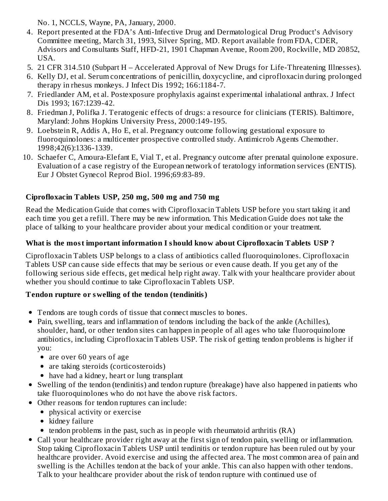No. 1, NCCLS, Wayne, PA, January, 2000.

- 4. Report presented at the FDA's Anti-Infective Drug and Dermatological Drug Product's Advisory Committee meeting, March 31, 1993, Silver Spring, MD. Report available from FDA, CDER, Advisors and Consultants Staff, HFD-21, 1901 Chapman Avenue, Room 200, Rockville, MD 20852, USA.
- 5. 21 CFR 314.510 (Subpart H Accelerated Approval of New Drugs for Life-Threatening Illnesses).
- 6. Kelly DJ, et al. Serum concentrations of penicillin, doxycycline, and ciprofloxacin during prolonged therapy in rhesus monkeys. J Infect Dis 1992; 166:1184-7.
- 7. Friedlander AM, et al. Postexposure prophylaxis against experimental inhalational anthrax. J Infect Dis 1993; 167:1239-42.
- 8. Friedman J, Polifka J. Teratogenic effects of drugs: a resource for clinicians (TERIS). Baltimore, Maryland: Johns Hopkins University Press, 2000:149-195.
- 9. Loebstein R, Addis A, Ho E, et al. Pregnancy outcome following gestational exposure to fluoroquinolones: a multicenter prospective controlled study. Antimicrob Agents Chemother. 1998;42(6):1336-1339.
- 10. Schaefer C, Amoura-Elefant E, Vial T, et al. Pregnancy outcome after prenatal quinolone exposure. Evaluation of a case registry of the European network of teratology information services (ENTIS). Eur J Obstet Gynecol Reprod Biol. 1996;69:83-89.

# **Ciprofloxacin Tablets USP, 250 mg, 500 mg and 750 mg**

Read the Medication Guide that comes with Ciprofloxacin Tablets USP before you start taking it and each time you get a refill. There may be new information. This Medication Guide does not take the place of talking to your healthcare provider about your medical condition or your treatment.

## **What is the most important information I should know about Ciprofloxacin Tablets USP ?**

Ciprofloxacin Tablets USP belongs to a class of antibiotics called fluoroquinolones. Ciprofloxacin Tablets USP can cause side effects that may be serious or even cause death. If you get any of the following serious side effects, get medical help right away. Talk with your healthcare provider about whether you should continue to take Ciprofloxacin Tablets USP.

## **Tendon rupture or swelling of the tendon (tendinitis)**

- Tendons are tough cords of tissue that connect muscles to bones.
- Pain, swelling, tears and inflammation of tendons including the back of the ankle (Achilles), shoulder, hand, or other tendon sites can happen in people of all ages who take fluoroquinolone antibiotics, including Ciprofloxacin Tablets USP. The risk of getting tendon problems is higher if you:
	- are over 60 years of age
	- are taking steroids (corticosteroids)
	- have had a kidney, heart or lung transplant
- Swelling of the tendon (tendinitis) and tendon rupture (breakage) have also happened in patients who take fluoroquinolones who do not have the above risk factors.
- Other reasons for tendon ruptures can include:
	- physical activity or exercise
	- $\bullet$  kidney failure
	- $\bullet$  tendon problems in the past, such as in people with rheumatoid arthritis (RA)
- Call your healthcare provider right away at the first sign of tendon pain, swelling or inflammation. Stop taking Ciprofloxacin Tablets USP until tendinitis or tendon rupture has been ruled out by your healthcare provider. Avoid exercise and using the affected area. The most common area of pain and swelling is the Achilles tendon at the back of your ankle. This can also happen with other tendons. Talk to your healthcare provider about the risk of tendon rupture with continued use of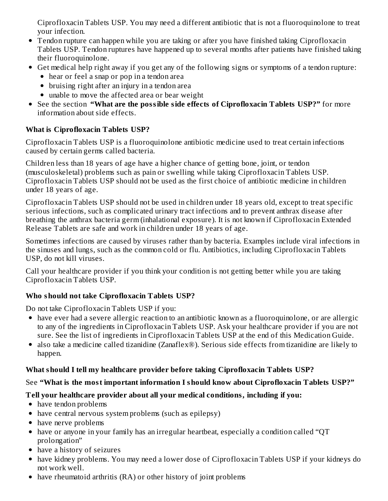Ciprofloxacin Tablets USP. You may need a different antibiotic that is not a fluoroquinolone to treat your infection.

- Tendon rupture can happen while you are taking or after you have finished taking Ciprofloxacin Tablets USP. Tendon ruptures have happened up to several months after patients have finished taking their fluoroquinolone.
- Get medical help right away if you get any of the following signs or symptoms of a tendon rupture:
	- hear or feel a snap or pop in a tendon area
	- bruising right after an injury in a tendon area
	- unable to move the affected area or bear weight
- See the section **"What are the possible side effects of Ciprofloxacin Tablets USP?"** for more information about side effects.

## **What is Ciprofloxacin Tablets USP?**

Ciprofloxacin Tablets USP is a fluoroquinolone antibiotic medicine used to treat certain infections caused by certain germs called bacteria.

Children less than 18 years of age have a higher chance of getting bone, joint, or tendon (musculoskeletal) problems such as pain or swelling while taking Ciprofloxacin Tablets USP. Ciprofloxacin Tablets USP should not be used as the first choice of antibiotic medicine in children under 18 years of age.

Ciprofloxacin Tablets USP should not be used in children under 18 years old, except to treat specific serious infections, such as complicated urinary tract infections and to prevent anthrax disease after breathing the anthrax bacteria germ (inhalational exposure). It is not known if Ciprofloxacin Extended Release Tablets are safe and work in children under 18 years of age.

Sometimes infections are caused by viruses rather than by bacteria. Examples include viral infections in the sinuses and lungs, such as the common cold or flu. Antibiotics, including Ciprofloxacin Tablets USP, do not kill viruses.

Call your healthcare provider if you think your condition is not getting better while you are taking Ciprofloxacin Tablets USP.

## **Who should not take Ciprofloxacin Tablets USP?**

Do not take Ciprofloxacin Tablets USP if you:

- have ever had a severe allergic reaction to an antibiotic known as a fluoroquinolone, or are allergic to any of the ingredients in Ciprofloxacin Tablets USP. Ask your healthcare provider if you are not sure. See the list of ingredients in Ciprofloxacin Tablets USP at the end of this Medication Guide.
- also take a medicine called tizanidine (Zanaflex®). Serious side effects from tizanidine are likely to happen.

## **What should I tell my healthcare provider before taking Ciprofloxacin Tablets USP?**

## See **"What is the most important information I should know about Ciprofloxacin Tablets USP?"**

## **Tell your healthcare provider about all your medical conditions, including if you:**

- have tendon problems
- have central nervous system problems (such as epilepsy)
- have nerve problems
- have or anyone in your family has an irregular heartbeat, especially a condition called "QT prolongation"
- have a history of seizures
- have kidney problems. You may need a lower dose of Ciprofloxacin Tablets USP if your kidneys do not work well.
- have rheumatoid arthritis (RA) or other history of joint problems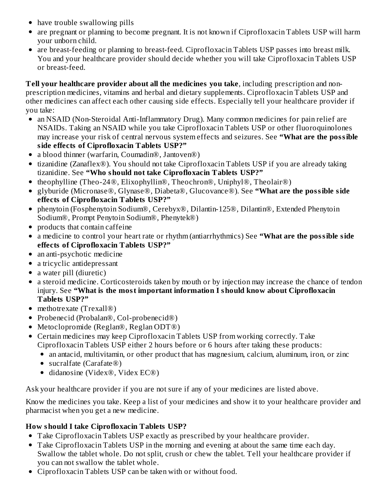- have trouble swallowing pills
- are pregnant or planning to become pregnant. It is not known if Ciprofloxacin Tablets USP will harm your unborn child.
- are breast-feeding or planning to breast-feed. Ciprofloxacin Tablets USP passes into breast milk. You and your healthcare provider should decide whether you will take Ciprofloxacin Tablets USP or breast-feed.

**Tell your healthcare provider about all the medicines you take**, including prescription and nonprescription medicines, vitamins and herbal and dietary supplements. Ciprofloxacin Tablets USP and other medicines can affect each other causing side effects. Especially tell your healthcare provider if you take:

- an NSAID (Non-Steroidal Anti-Inflammatory Drug). Many common medicines for pain relief are NSAIDs. Taking an NSAID while you take Ciprofloxacin Tablets USP or other fluoroquinolones may increase your risk of central nervous system effects and seizures. See **"What are the possible side effects of Ciprofloxacin Tablets USP?"**
- a blood thinner (warfarin, Coumadin®, Jantoven®)
- tizanidine (Zanaflex®). You should not take Ciprofloxacin Tablets USP if you are already taking tizanidine. See **"Who should not take Ciprofloxacin Tablets USP?"**
- theophylline (Theo-24®, Elixophyllin®, Theochron®, Uniphyl®, Theolair®)
- glyburide (Micronase®, Glynase®, Diabeta®, Glucovance®). See **"What are the possible side effects of Ciprofloxacin Tablets USP?"**
- phenytoin (Fosphenytoin Sodium®, Cerebyx®, Dilantin-125®, Dilantin®, Extended Phenytoin Sodium®, Prompt Penytoin Sodium®, Phenytek®)
- products that contain caffeine
- a medicine to control your heart rate or rhythm (antiarrhythmics) See **"What are the possible side effects of Ciprofloxacin Tablets USP?"**
- an anti-psychotic medicine
- a tricyclic antidepressant
- a water pill (diuretic)
- a steroid medicine. Corticosteroids taken by mouth or by injection may increase the chance of tendon injury. See **"What is the most important information I should know about Ciprofloxacin Tablets USP?"**
- methotrexate (Trexall®)
- Probenecid (Probalan®, Col-probenecid®)
- Metoclopromide (Reglan®, Reglan ODT®)
- Certain medicines may keep Ciprofloxacin Tablets USP from working correctly. Take Ciprofloxacin Tablets USP either 2 hours before or 6 hours after taking these products:
	- an antacid, multivitamin, or other product that has magnesium, calcium, aluminum, iron, or zinc
	- sucralfate (Carafate®)
	- didanosine (Videx®, Videx EC®)

Ask your healthcare provider if you are not sure if any of your medicines are listed above.

Know the medicines you take. Keep a list of your medicines and show it to your healthcare provider and pharmacist when you get a new medicine.

# **How should I take Ciprofloxacin Tablets USP?**

- Take Ciprofloxacin Tablets USP exactly as prescribed by your healthcare provider.
- Take Ciprofloxacin Tablets USP in the morning and evening at about the same time each day. Swallow the tablet whole. Do not split, crush or chew the tablet. Tell your healthcare provider if you can not swallow the tablet whole.
- Ciprofloxacin Tablets USP can be taken with or without food.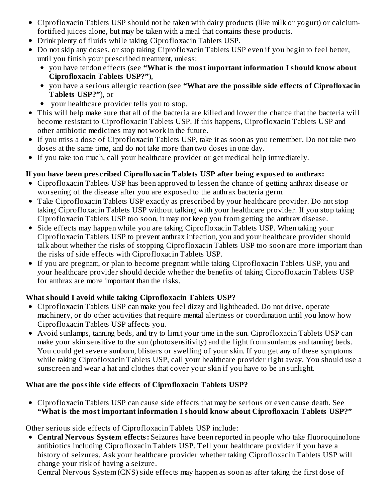- Ciprofloxacin Tablets USP should not be taken with dairy products (like milk or yogurt) or calciumfortified juices alone, but may be taken with a meal that contains these products.
- Drink plenty of fluids while taking Ciprofloxacin Tablets USP.
- Do not skip any doses, or stop taking Ciprofloxacin Tablets USP even if you begin to feel better, until you finish your prescribed treatment, unless:
	- you have tendon effects (see **"What is the most important information I should know about Ciprofloxacin Tablets USP?"**),
	- you have a serious allergic reaction (see **"What are the possible side effects of Ciprofloxacin Tablets USP?"**), or
	- your healthcare provider tells you to stop.
- This will help make sure that all of the bacteria are killed and lower the chance that the bacteria will become resistant to Ciprofloxacin Tablets USP. If this happens, Ciprofloxacin Tablets USP and other antibiotic medicines may not work in the future.
- If you miss a dose of Ciprofloxacin Tablets USP, take it as soon as you remember. Do not take two doses at the same time, and do not take more than two doses in one day.
- If you take too much, call your healthcare provider or get medical help immediately.

# **If you have been pres cribed Ciprofloxacin Tablets USP after being expos ed to anthrax:**

- Ciprofloxacin Tablets USP has been approved to lessen the chance of getting anthrax disease or worsening of the disease after you are exposed to the anthrax bacteria germ.
- Take Ciprofloxacin Tablets USP exactly as prescribed by your healthcare provider. Do not stop taking Ciprofloxacin Tablets USP without talking with your healthcare provider. If you stop taking Ciprofloxacin Tablets USP too soon, it may not keep you from getting the anthrax disease.
- Side effects may happen while you are taking Ciprofloxacin Tablets USP. When taking your Ciprofloxacin Tablets USP to prevent anthrax infection, you and your healthcare provider should talk about whether the risks of stopping Ciprofloxacin Tablets USP too soon are more important than the risks of side effects with Ciprofloxacin Tablets USP.
- If you are pregnant, or plan to become pregnant while taking Ciprofloxacin Tablets USP, you and your healthcare provider should decide whether the benefits of taking Ciprofloxacin Tablets USP for anthrax are more important than the risks.

# **What should I avoid while taking Ciprofloxacin Tablets USP?**

- Ciprofloxacin Tablets USP can make you feel dizzy and lightheaded. Do not drive, operate machinery, or do other activities that require mental alertness or coordination until you know how Ciprofloxacin Tablets USP affects you.
- Avoid sunlamps, tanning beds, and try to limit your time in the sun. Ciprofloxacin Tablets USP can make your skin sensitive to the sun (photosensitivity) and the light from sunlamps and tanning beds. You could get severe sunburn, blisters or swelling of your skin. If you get any of these symptoms while taking Ciprofloxacin Tablets USP, call your healthcare provider right away. You should use a sunscreen and wear a hat and clothes that cover your skin if you have to be in sunlight.

# **What are the possible side effects of Ciprofloxacin Tablets USP?**

Ciprofloxacin Tablets USP can cause side effects that may be serious or even cause death. See **"What is the most important information I should know about Ciprofloxacin Tablets USP?"**

Other serious side effects of Ciprofloxacin Tablets USP include:

**Central Nervous System effects:** Seizures have been reported in people who take fluoroquinolone antibiotics including Ciprofloxacin Tablets USP. Tell your healthcare provider if you have a history of seizures. Ask your healthcare provider whether taking Ciprofloxacin Tablets USP will change your risk of having a seizure.

Central Nervous System (CNS) side effects may happen as soon as after taking the first dose of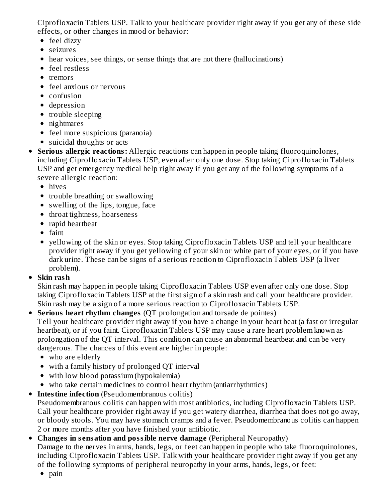Ciprofloxacin Tablets USP. Talk to your healthcare provider right away if you get any of these side effects, or other changes in mood or behavior:

- feel dizzy
- seizures
- hear voices, see things, or sense things that are not there (hallucinations)
- feel restless
- tremors
- feel anxious or nervous
- confusion
- depression
- trouble sleeping
- nightmares
- feel more suspicious (paranoia)
- suicidal thoughts or acts
- **Serious allergic reactions:** Allergic reactions can happen in people taking fluoroquinolones, including Ciprofloxacin Tablets USP, even after only one dose. Stop taking Ciprofloxacin Tablets USP and get emergency medical help right away if you get any of the following symptoms of a severe allergic reaction:
	- hives
	- trouble breathing or swallowing
	- swelling of the lips, tongue, face
	- throat tightness, hoarseness
	- rapid heartbeat
	- $\bullet$  faint
	- yellowing of the skin or eyes. Stop taking Ciprofloxacin Tablets USP and tell your healthcare provider right away if you get yellowing of your skin or white part of your eyes, or if you have dark urine. These can be signs of a serious reaction to Ciprofloxacin Tablets USP (a liver problem).
- **Skin rash**

Skin rash may happen in people taking Ciprofloxacin Tablets USP even after only one dose. Stop taking Ciprofloxacin Tablets USP at the first sign of a skin rash and call your healthcare provider. Skin rash may be a sign of a more serious reaction to Ciprofloxacin Tablets USP.

**Serious heart rhythm changes** (QT prolongation and torsade de pointes)

Tell your healthcare provider right away if you have a change in your heart beat (a fast or irregular heartbeat), or if you faint. Ciprofloxacin Tablets USP may cause a rare heart problem known as prolongation of the QT interval. This condition can cause an abnormal heartbeat and can be very dangerous. The chances of this event are higher in people:

- who are elderly
- with a family history of prolonged QT interval
- with low blood potassium (hypokalemia)
- who take certain medicines to control heart rhythm (antiarrhythmics)
- **Intestine infection** (Pseudomembranous colitis) Pseudomembranous colitis can happen with most antibiotics, including Ciprofloxacin Tablets USP. Call your healthcare provider right away if you get watery diarrhea, diarrhea that does not go away, or bloody stools. You may have stomach cramps and a fever. Pseudomembranous colitis can happen 2 or more months after you have finished your antibiotic.
- **Changes in s ensation and possible nerve damage** (Peripheral Neuropathy) Damage to the nerves in arms, hands, legs, or feet can happen in people who take fluoroquinolones, including Ciprofloxacin Tablets USP. Talk with your healthcare provider right away if you get any of the following symptoms of peripheral neuropathy in your arms, hands, legs, or feet: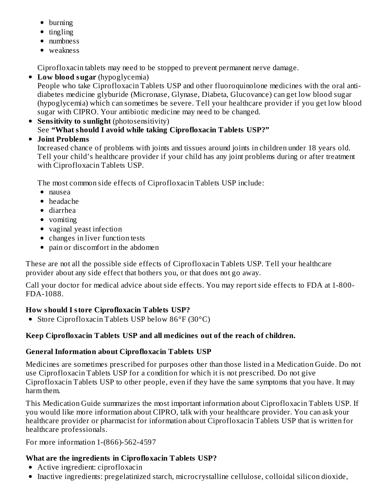- burning
- $\bullet$  tingling
- numbness
- weakness

Ciprofloxacin tablets may need to be stopped to prevent permanent nerve damage.

**Low blood sugar** (hypoglycemia)

People who take Ciprofloxacin Tablets USP and other fluoroquinolone medicines with the oral antidiabetes medicine glyburide (Micronase, Glynase, Diabeta, Glucovance) can get low blood sugar (hypoglycemia) which can sometimes be severe. Tell your healthcare provider if you get low blood sugar with CIPRO. Your antibiotic medicine may need to be changed.

## **Sensitivity to sunlight** (photosensitivity) See **"What should I avoid while taking Ciprofloxacin Tablets USP?"**

# **Joint Problems**

Increased chance of problems with joints and tissues around joints in children under 18 years old. Tell your child's healthcare provider if your child has any joint problems during or after treatment with Ciprofloxacin Tablets USP.

The most common side effects of Ciprofloxacin Tablets USP include:

- nausea
- headache
- diarrhea
- vomiting
- vaginal yeast infection
- changes in liver function tests
- pain or discomfort in the abdomen

These are not all the possible side effects of Ciprofloxacin Tablets USP. Tell your healthcare provider about any side effect that bothers you, or that does not go away.

Call your doctor for medical advice about side effects. You may report side effects to FDA at 1-800- FDA-1088.

# **How should I store Ciprofloxacin Tablets USP?**

• Store Ciprofloxacin Tablets USP below 86°F (30°C)

# **Keep Ciprofloxacin Tablets USP and all medicines out of the reach of children.**

# **General Information about Ciprofloxacin Tablets USP**

Medicines are sometimes prescribed for purposes other than those listed in a Medication Guide. Do not use Ciprofloxacin Tablets USP for a condition for which it is not prescribed. Do not give Ciprofloxacin Tablets USP to other people, even if they have the same symptoms that you have. It may harm them.

This Medication Guide summarizes the most important information about Ciprofloxacin Tablets USP. If you would like more information about CIPRO, talk with your healthcare provider. You can ask your healthcare provider or pharmacist for information about Ciprofloxacin Tablets USP that is written for healthcare professionals.

For more information 1-(866)-562-4597

# **What are the ingredients in Ciprofloxacin Tablets USP?**

- Active ingredient: ciprofloxacin
- Inactive ingredients: pregelatinized starch, microcrystalline cellulose, colloidal silicon dioxide,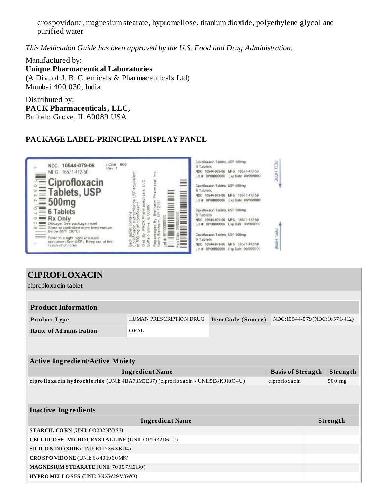crospovidone, magnesium stearate, hypromellose, titanium dioxide, polyethylene glycol and purified water

*This Medication Guide has been approved by the U.S. Food and Drug Administration.*

Manufactured by: **Unique Pharmaceutical Laboratories** (A Div. of J. B. Chemicals & Pharmaceuticals Ltd) Mumbai 400 030, India

Distributed by: **PACK Pharmaceuticals, LLC,** Buffalo Grove, IL 60089 USA

#### **PACKAGE LABEL-PRINCIPAL DISPLAY PANEL**



| <b>CIPROFLOXACIN</b>                               |                                                                                                   |                    |                              |  |                 |
|----------------------------------------------------|---------------------------------------------------------------------------------------------------|--------------------|------------------------------|--|-----------------|
| ciprofloxacin tablet                               |                                                                                                   |                    |                              |  |                 |
|                                                    |                                                                                                   |                    |                              |  |                 |
| <b>Product Information</b>                         |                                                                                                   |                    |                              |  |                 |
| <b>Product Type</b>                                | <b>HUMAN PRESCRIPTION DRUG</b>                                                                    | Item Code (Source) | NDC:10544-079(NDC:16571-412) |  |                 |
| <b>Route of Administration</b>                     | ORAL                                                                                              |                    |                              |  |                 |
|                                                    |                                                                                                   |                    |                              |  |                 |
|                                                    |                                                                                                   |                    |                              |  |                 |
| <b>Active Ingredient/Active Moiety</b>             |                                                                                                   |                    |                              |  |                 |
| <b>Ingredient Name</b><br><b>Basis of Strength</b> |                                                                                                   |                    |                              |  | <b>Strength</b> |
|                                                    | ciprofloxacin hydrochloride (UNII: 4BA73M5E37) (ciprofloxacin - UNII:5E8K9I0O4U)<br>ciprofloxacin |                    |                              |  | 500 mg          |
|                                                    |                                                                                                   |                    |                              |  |                 |
| <b>Inactive Ingredients</b>                        |                                                                                                   |                    |                              |  |                 |
|                                                    |                                                                                                   |                    |                              |  |                 |
|                                                    | <b>Ingredient Name</b>                                                                            |                    |                              |  | Strength        |
| STARCH, CORN (UNII: O8232NY3SJ)                    |                                                                                                   |                    |                              |  |                 |
| CELLULOSE, MICRO CRYSTALLINE (UNII: OP1R32D61U)    |                                                                                                   |                    |                              |  |                 |
| <b>SILICON DIO XIDE (UNII: ETJ7Z6 XBU4)</b>        |                                                                                                   |                    |                              |  |                 |
| CROSPOVIDONE (UNII: 68401960MK)                    |                                                                                                   |                    |                              |  |                 |
| MAGNESIUM STEARATE (UNII: 70097M6I30)              |                                                                                                   |                    |                              |  |                 |
| HYPROMELLOSES (UNII: 3NXW29V3WO)                   |                                                                                                   |                    |                              |  |                 |
|                                                    |                                                                                                   |                    |                              |  |                 |